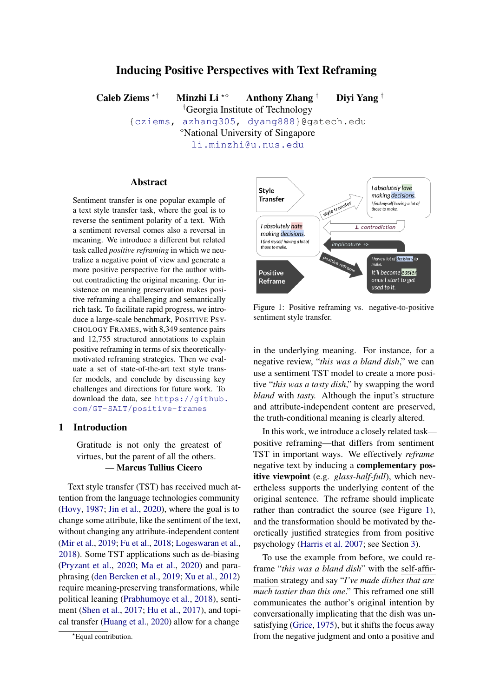# Inducing Positive Perspectives with Text Reframing

Caleb Ziems  $*$ † Minzhi Li  $*$ ° Anthony Zhang † Divi Yang † †Georgia Institute of Technology [{cziems,](mailto://cziems3@gatech.edu) [azhang305,](mailto://azhang305@gatech.edu) [dyang888}](mailto://dyang888@gatech.edu)@gatech.edu National University of Singapore [li.minzhi@u.nus.edu](mailto://li.minzhi@u.nus.edu)

#### Abstract

Sentiment transfer is one popular example of a text style transfer task, where the goal is to reverse the sentiment polarity of a text. With a sentiment reversal comes also a reversal in meaning. We introduce a different but related task called *positive reframing* in which we neutralize a negative point of view and generate a more positive perspective for the author without contradicting the original meaning. Our insistence on meaning preservation makes positive reframing a challenging and semantically rich task. To facilitate rapid progress, we introduce a large-scale benchmark, POSITIVE PSY-CHOLOGY FRAMES, with 8,349 sentence pairs and 12,755 structured annotations to explain positive reframing in terms of six theoreticallymotivated reframing strategies. Then we evaluate a set of state-of-the-art text style transfer models, and conclude by discussing key challenges and directions for future work. To download the data, see [https://github.](https://github.com/GT-SALT/positive-frames) [com/GT-SALT/positive-frames](https://github.com/GT-SALT/positive-frames)

## 1 Introduction

Gratitude is not only the greatest of virtues, but the parent of all the others. — Marcus Tullius Cicero

Text style transfer (TST) has received much attention from the language technologies community [\(Hovy,](#page-10-0) [1987;](#page-10-0) [Jin et al.,](#page-10-1) [2020\)](#page-10-1), where the goal is to change some attribute, like the sentiment of the text, without changing any attribute-independent content [\(Mir et al.,](#page-11-0) [2019;](#page-11-0) [Fu et al.,](#page-9-0) [2018;](#page-9-0) [Logeswaran et al.,](#page-11-1) [2018\)](#page-11-1). Some TST applications such as de-biasing [\(Pryzant et al.,](#page-12-0) [2020;](#page-12-0) [Ma et al.,](#page-11-2) [2020\)](#page-11-2) and paraphrasing [\(den Bercken et al.,](#page-9-1) [2019;](#page-9-1) [Xu et al.,](#page-13-0) [2012\)](#page-13-0) require meaning-preserving transformations, while political leaning [\(Prabhumoye et al.,](#page-12-1) [2018\)](#page-12-1), sentiment [\(Shen et al.,](#page-12-2) [2017;](#page-12-2) [Hu et al.,](#page-10-2) [2017\)](#page-10-2), and topical transfer [\(Huang et al.,](#page-10-3) [2020\)](#page-10-3) allow for a change

<span id="page-0-1"></span>

Figure 1: Positive reframing vs. negative-to-positive sentiment style transfer.

in the underlying meaning. For instance, for a negative review, "*this was a bland dish*," we can use a sentiment TST model to create a more positive "*this was a tasty dish*," by swapping the word *bland* with *tasty.* Although the input's structure and attribute-independent content are preserved, the truth-conditional meaning is clearly altered.

In this work, we introduce a closely related task positive reframing—that differs from sentiment TST in important ways. We effectively *reframe* negative text by inducing a complementary positive viewpoint (e.g. *glass-half-full*), which nevertheless supports the underlying content of the original sentence. The reframe should implicate rather than contradict the source (see Figure [1\)](#page-0-1), and the transformation should be motivated by theoretically justified strategies from from positive psychology [\(Harris et al.](#page-10-4) [2007;](#page-10-4) see Section [3\)](#page-2-0).

To use the example from before, we could reframe "*this was a bland dish*" with the self-affirmation strategy and say "*I've made dishes that are much tastier than this one*." This reframed one still communicates the author's original intention by conversationally implicating that the dish was unsatisfying [\(Grice,](#page-9-2) [1975\)](#page-9-2), but it shifts the focus away from the negative judgment and onto a positive and

<span id="page-0-0"></span> $\overline{\text{``Equal contribution.}}$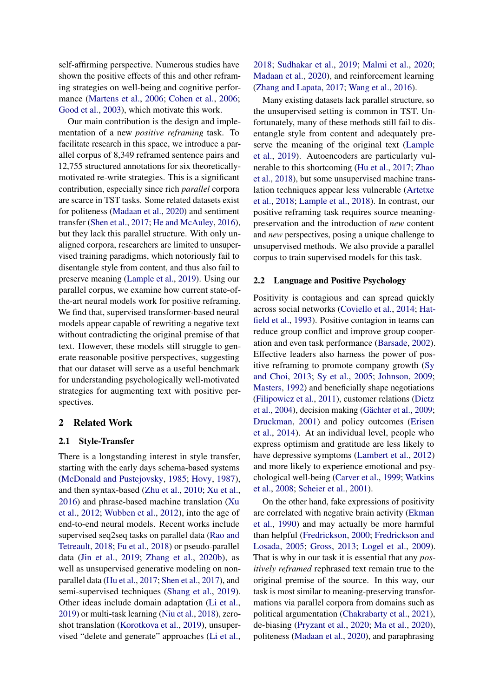self-affirming perspective. Numerous studies have shown the positive effects of this and other reframing strategies on well-being and cognitive performance [\(Martens et al.,](#page-11-3) [2006;](#page-11-3) [Cohen et al.,](#page-9-3) [2006;](#page-9-3) [Good et al.,](#page-9-4) [2003\)](#page-9-4), which motivate this work.

Our main contribution is the design and implementation of a new *positive reframing* task. To facilitate research in this space, we introduce a parallel corpus of 8,349 reframed sentence pairs and 12,755 structured annotations for six theoreticallymotivated re-write strategies. This is a significant contribution, especially since rich *parallel* corpora are scarce in TST tasks. Some related datasets exist for politeness [\(Madaan et al.,](#page-11-4) [2020\)](#page-11-4) and sentiment transfer [\(Shen et al.,](#page-12-2) [2017;](#page-12-2) [He and McAuley,](#page-10-5) [2016\)](#page-10-5), but they lack this parallel structure. With only unaligned corpora, researchers are limited to unsupervised training paradigms, which notoriously fail to disentangle style from content, and thus also fail to preserve meaning [\(Lample et al.,](#page-10-6) [2019\)](#page-10-6). Using our parallel corpus, we examine how current state-ofthe-art neural models work for positive reframing. We find that, supervised transformer-based neural models appear capable of rewriting a negative text without contradicting the original premise of that text. However, these models still struggle to generate reasonable positive perspectives, suggesting that our dataset will serve as a useful benchmark for understanding psychologically well-motivated strategies for augmenting text with positive perspectives.

### 2 Related Work

## 2.1 Style-Transfer

There is a longstanding interest in style transfer, starting with the early days schema-based systems [\(McDonald and Pustejovsky,](#page-11-5) [1985;](#page-11-5) [Hovy,](#page-10-0) [1987\)](#page-10-0), and then syntax-based [\(Zhu et al.,](#page-14-0) [2010;](#page-14-0) [Xu et al.,](#page-13-1) [2016\)](#page-13-1) and phrase-based machine translation [\(Xu](#page-13-0) [et al.,](#page-13-0) [2012;](#page-13-0) [Wubben et al.,](#page-13-2) [2012\)](#page-13-2), into the age of end-to-end neural models. Recent works include supervised seq2seq tasks on parallel data [\(Rao and](#page-12-3) [Tetreault,](#page-12-3) [2018;](#page-12-3) [Fu et al.,](#page-9-0) [2018\)](#page-9-0) or pseudo-parallel data [\(Jin et al.,](#page-10-7) [2019;](#page-10-7) [Zhang et al.,](#page-13-3) [2020b\)](#page-13-3), as well as unsupervised generative modeling on nonparallel data [\(Hu et al.,](#page-10-2) [2017;](#page-10-2) [Shen et al.,](#page-12-2) [2017\)](#page-12-2), and semi-supervised techniques [\(Shang et al.,](#page-12-4) [2019\)](#page-12-4). Other ideas include domain adaptation [\(Li et al.,](#page-11-6) [2019\)](#page-11-6) or multi-task learning [\(Niu et al.,](#page-12-5) [2018\)](#page-12-5), zeroshot translation [\(Korotkova et al.,](#page-10-8) [2019\)](#page-10-8), unsupervised "delete and generate" approaches [\(Li et al.,](#page-11-7) [2018;](#page-11-7) [Sudhakar et al.,](#page-13-4) [2019;](#page-13-4) [Malmi et al.,](#page-11-8) [2020;](#page-11-8) [Madaan et al.,](#page-11-4) [2020\)](#page-11-4), and reinforcement learning [\(Zhang and Lapata,](#page-13-5) [2017;](#page-13-5) [Wang et al.,](#page-13-6) [2016\)](#page-13-6).

Many existing datasets lack parallel structure, so the unsupervised setting is common in TST. Unfortunately, many of these methods still fail to disentangle style from content and adequately preserve the meaning of the original text [\(Lample](#page-10-6) [et al.,](#page-10-6) [2019\)](#page-10-6). Autoencoders are particularly vulnerable to this shortcoming [\(Hu et al.,](#page-10-2) [2017;](#page-10-2) [Zhao](#page-14-1) [et al.,](#page-14-1) [2018\)](#page-14-1), but some unsupervised machine translation techniques appear less vulnerable [\(Artetxe](#page-8-0) [et al.,](#page-8-0) [2018;](#page-8-0) [Lample et al.,](#page-10-9) [2018\)](#page-10-9). In contrast, our positive reframing task requires source meaningpreservation and the introduction of *new* content and *new* perspectives, posing a unique challenge to unsupervised methods. We also provide a parallel corpus to train supervised models for this task.

#### 2.2 Language and Positive Psychology

Positivity is contagious and can spread quickly across social networks [\(Coviello et al.,](#page-9-5) [2014;](#page-9-5) [Hat](#page-10-10)[field et al.,](#page-10-10) [1993\)](#page-10-10). Positive contagion in teams can reduce group conflict and improve group cooperation and even task performance [\(Barsade,](#page-8-1) [2002\)](#page-8-1). Effective leaders also harness the power of positive reframing to promote company growth [\(Sy](#page-13-7) [and Choi,](#page-13-7) [2013;](#page-13-7) [Sy et al.,](#page-13-8) [2005;](#page-13-8) [Johnson,](#page-10-11) [2009;](#page-10-11) [Masters,](#page-11-9) [1992\)](#page-11-9) and beneficially shape negotiations [\(Filipowicz et al.,](#page-9-6) [2011\)](#page-9-6), customer relations [\(Dietz](#page-9-7) [et al.,](#page-9-7) [2004\)](#page-9-7), decision making [\(Gächter et al.,](#page-9-8) [2009;](#page-9-8) [Druckman,](#page-9-9) [2001\)](#page-9-9) and policy outcomes [\(Erisen](#page-9-10) [et al.,](#page-9-10) [2014\)](#page-9-10). At an individual level, people who express optimism and gratitude are less likely to have depressive symptoms [\(Lambert et al.,](#page-10-12) [2012\)](#page-10-12) and more likely to experience emotional and psychological well-being [\(Carver et al.,](#page-8-2) [1999;](#page-8-2) [Watkins](#page-13-9) [et al.,](#page-13-9) [2008;](#page-13-9) [Scheier et al.,](#page-12-6) [2001\)](#page-12-6).

On the other hand, fake expressions of positivity are correlated with negative brain activity [\(Ekman](#page-9-11) [et al.,](#page-9-11) [1990\)](#page-9-11) and may actually be more harmful than helpful [\(Fredrickson,](#page-9-12) [2000;](#page-9-12) [Fredrickson and](#page-9-13) [Losada,](#page-9-13) [2005;](#page-9-13) [Gross,](#page-10-13) [2013;](#page-10-13) [Logel et al.,](#page-11-10) [2009\)](#page-11-10). That is why in our task it is essential that any *positively reframed* rephrased text remain true to the original premise of the source. In this way, our task is most similar to meaning-preserving transformations via parallel corpora from domains such as political argumentation [\(Chakrabarty et al.,](#page-9-14) [2021\)](#page-9-14), de-biasing [\(Pryzant et al.,](#page-12-0) [2020;](#page-12-0) [Ma et al.,](#page-11-2) [2020\)](#page-11-2), politeness [\(Madaan et al.,](#page-11-4) [2020\)](#page-11-4), and paraphrasing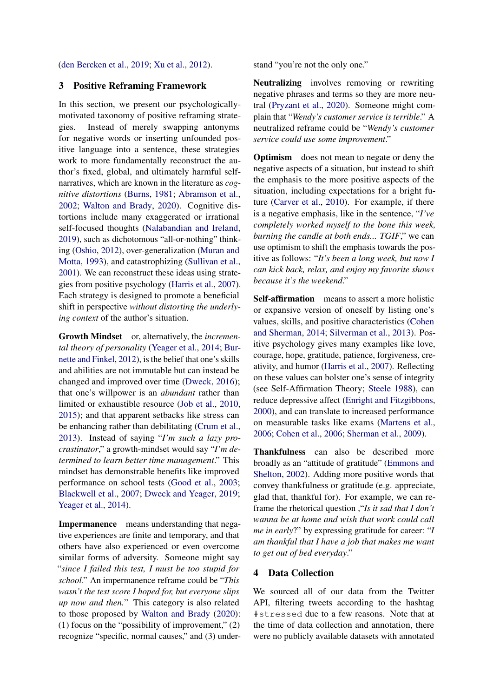#### [\(den Bercken et al.,](#page-9-1) [2019;](#page-9-1) [Xu et al.,](#page-13-0) [2012\)](#page-13-0).

## <span id="page-2-0"></span>3 Positive Reframing Framework

In this section, we present our psychologicallymotivated taxonomy of positive reframing strategies. Instead of merely swapping antonyms for negative words or inserting unfounded positive language into a sentence, these strategies work to more fundamentally reconstruct the author's fixed, global, and ultimately harmful selfnarratives, which are known in the literature as *cognitive distortions* [\(Burns,](#page-8-3) [1981;](#page-8-3) [Abramson et al.,](#page-8-4) [2002;](#page-8-4) [Walton and Brady,](#page-13-10) [2020\)](#page-13-10). Cognitive distortions include many exaggerated or irrational self-focused thoughts [\(Nalabandian and Ireland,](#page-11-11) [2019\)](#page-11-11), such as dichotomous "all-or-nothing" thinking [\(Oshio,](#page-12-7) [2012\)](#page-12-7), over-generalization [\(Muran and](#page-11-12) [Motta,](#page-11-12) [1993\)](#page-11-12), and catastrophizing [\(Sullivan et al.,](#page-13-11) [2001\)](#page-13-11). We can reconstruct these ideas using strategies from positive psychology [\(Harris et al.,](#page-10-4) [2007\)](#page-10-4). Each strategy is designed to promote a beneficial shift in perspective *without distorting the underlying context* of the author's situation.

Growth Mindset or, alternatively, the *incremental theory of personality* [\(Yeager et al.,](#page-13-12) [2014;](#page-13-12) [Bur](#page-8-5)[nette and Finkel,](#page-8-5) [2012\)](#page-8-5), is the belief that one's skills and abilities are not immutable but can instead be changed and improved over time [\(Dweck,](#page-9-15) [2016\)](#page-9-15); that one's willpower is an *abundant* rather than limited or exhaustible resource [\(Job et al.,](#page-10-14) [2010,](#page-10-14) [2015\)](#page-10-15); and that apparent setbacks like stress can be enhancing rather than debilitating [\(Crum et al.,](#page-9-16) [2013\)](#page-9-16). Instead of saying "*I'm such a lazy procrastinator*," a growth-mindset would say "*I'm determined to learn better time management*." This mindset has demonstrable benefits like improved performance on school tests [\(Good et al.,](#page-9-4) [2003;](#page-9-4) [Blackwell et al.,](#page-8-6) [2007;](#page-8-6) [Dweck and Yeager,](#page-9-17) [2019;](#page-9-17) [Yeager et al.,](#page-13-12) [2014\)](#page-13-12).

Impermanence means understanding that negative experiences are finite and temporary, and that others have also experienced or even overcome similar forms of adversity. Someone might say "*since I failed this test, I must be too stupid for school*." An impermanence reframe could be "*This wasn't the test score I hoped for, but everyone slips up now and then.*" This category is also related to those proposed by [Walton and Brady](#page-13-10) [\(2020\)](#page-13-10): (1) focus on the "possibility of improvement,"  $(2)$ recognize "specific, normal causes," and (3) understand "you're not the only one."

Neutralizing involves removing or rewriting negative phrases and terms so they are more neutral [\(Pryzant et al.,](#page-12-0) [2020\)](#page-12-0). Someone might complain that "*Wendy's customer service is terrible*." A neutralized reframe could be "*Wendy's customer service could use some improvement*."

Optimism does not mean to negate or deny the negative aspects of a situation, but instead to shift the emphasis to the more positive aspects of the situation, including expectations for a bright future [\(Carver et al.,](#page-8-7) [2010\)](#page-8-7). For example, if there is a negative emphasis, like in the sentence, "*I've completely worked myself to the bone this week, burning the candle at both ends... TGIF*," we can use optimism to shift the emphasis towards the positive as follows: "*It's been a long week, but now I can kick back, relax, and enjoy my favorite shows because it's the weekend*."

Self-affirmation means to assert a more holistic or expansive version of oneself by listing one's values, skills, and positive characteristics [\(Cohen](#page-9-18) [and Sherman,](#page-9-18) [2014;](#page-9-18) [Silverman et al.,](#page-13-13) [2013\)](#page-13-13). Positive psychology gives many examples like love, courage, hope, gratitude, patience, forgiveness, creativity, and humor [\(Harris et al.,](#page-10-4) [2007\)](#page-10-4). Reflecting on these values can bolster one's sense of integrity (see Self-Affirmation Theory; [Steele](#page-13-14) [1988\)](#page-13-14), can reduce depressive affect [\(Enright and Fitzgibbons,](#page-9-19) [2000\)](#page-9-19), and can translate to increased performance on measurable tasks like exams [\(Martens et al.,](#page-11-3) [2006;](#page-11-3) [Cohen et al.,](#page-9-3) [2006;](#page-9-3) [Sherman et al.,](#page-12-8) [2009\)](#page-12-8).

Thankfulness can also be described more broadly as an "attitude of gratitude" [\(Emmons and](#page-9-20) [Shelton,](#page-9-20) [2002\)](#page-9-20). Adding more positive words that convey thankfulness or gratitude (e.g. appreciate, glad that, thankful for). For example, we can reframe the rhetorical question ,"*Is it sad that I don't wanna be at home and wish that work could call me in early*?" by expressing gratitude for career: "*I am thankful that I have a job that makes me want to get out of bed everyday*."

## 4 Data Collection

We sourced all of our data from the Twitter API, filtering tweets according to the hashtag #stressed due to a few reasons. Note that at the time of data collection and annotation, there were no publicly available datasets with annotated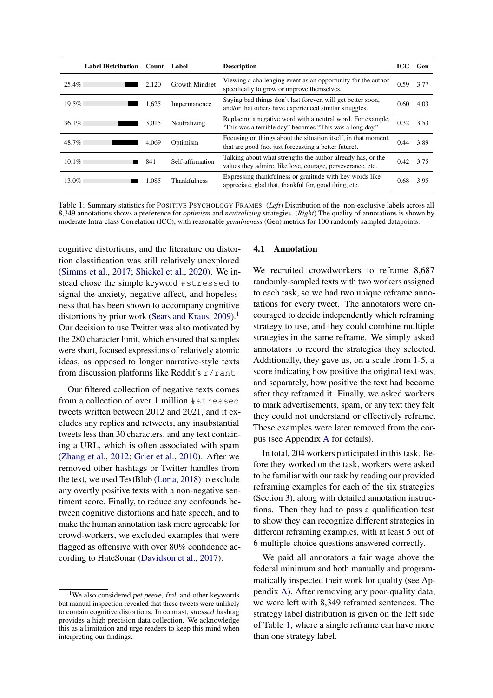<span id="page-3-1"></span>

|          | <b>Label Distribution</b> | Count | Label                 | <b>Description</b>                                                                                                        | <b>ICC</b> | Gen  |
|----------|---------------------------|-------|-----------------------|---------------------------------------------------------------------------------------------------------------------------|------------|------|
| $25.4\%$ |                           | 2.120 | <b>Growth Mindset</b> | Viewing a challenging event as an opportunity for the author<br>specifically to grow or improve themselves.               | 0.59       | 3.77 |
| 19.5%    |                           | 1.625 | Impermanence          | Saying bad things don't last forever, will get better soon,<br>and/or that others have experienced similar struggles.     | 0.60       | 4.03 |
| $36.1\%$ |                           | 3.015 | Neutralizing          | Replacing a negative word with a neutral word. For example,<br>"This was a terrible day" becomes "This was a long day."   | 0.32       | 3.53 |
| 48.7%    |                           | 4.069 | Optimism              | Focusing on things about the situation itself, in that moment,<br>that are good (not just forecasting a better future).   | 0.44       | 3.89 |
| $10.1\%$ |                           | 841   | Self-affirmation      | Talking about what strengths the author already has, or the<br>values they admire, like love, courage, perseverance, etc. | 0.42       | 3.75 |
| $13.0\%$ |                           | 1.085 | <b>Thankfulness</b>   | Expressing thankfulness or gratitude with key words like<br>appreciate, glad that, thankful for, good thing, etc.         | 0.68       | 3.95 |

Table 1: Summary statistics for POSITIVE PSYCHOLOGY FRAMES. (*Left*) Distribution of the non-exclusive labels across all 8,349 annotations shows a preference for *optimism* and *neutralizing* strategies. (*Right*) The quality of annotations is shown by moderate Intra-class Correlation (ICC), with reasonable *genuineness* (Gen) metrics for 100 randomly sampled datapoints.

cognitive distortions, and the literature on distortion classification was still relatively unexplored [\(Simms et al.,](#page-13-15) [2017;](#page-13-15) [Shickel et al.,](#page-13-16) [2020\)](#page-13-16). We instead chose the simple keyword #stressed to signal the anxiety, negative affect, and hopelessness that has been shown to accompany cognitive distortions by prior work [\(Sears and Kraus,](#page-12-9)  $2009$ ).<sup>[1](#page-3-0)</sup> Our decision to use Twitter was also motivated by the 280 character limit, which ensured that samples were short, focused expressions of relatively atomic ideas, as opposed to longer narrative-style texts from discussion platforms like Reddit's  $r/r$  ant.

Our filtered collection of negative texts comes from a collection of over 1 million #stressed tweets written between 2012 and 2021, and it excludes any replies and retweets, any insubstantial tweets less than 30 characters, and any text containing a URL, which is often associated with spam [\(Zhang et al.,](#page-13-17) [2012;](#page-13-17) [Grier et al.,](#page-10-16) [2010\)](#page-10-16). After we removed other hashtags or Twitter handles from the text, we used TextBlob [\(Loria,](#page-11-13) [2018\)](#page-11-13) to exclude any overtly positive texts with a non-negative sentiment score. Finally, to reduce any confounds between cognitive distortions and hate speech, and to make the human annotation task more agreeable for crowd-workers, we excluded examples that were flagged as offensive with over 80% confidence according to HateSonar [\(Davidson et al.,](#page-9-21) [2017\)](#page-9-21).

#### <span id="page-3-2"></span>4.1 Annotation

We recruited crowdworkers to reframe 8,687 randomly-sampled texts with two workers assigned to each task, so we had two unique reframe annotations for every tweet. The annotators were encouraged to decide independently which reframing strategy to use, and they could combine multiple strategies in the same reframe. We simply asked annotators to record the strategies they selected. Additionally, they gave us, on a scale from 1-5, a score indicating how positive the original text was, and separately, how positive the text had become after they reframed it. Finally, we asked workers to mark advertisements, spam, or any text they felt they could not understand or effectively reframe. These examples were later removed from the corpus (see Appendix [A](#page-15-0) for details).

In total, 204 workers participated in this task. Before they worked on the task, workers were asked to be familiar with our task by reading our provided reframing examples for each of the six strategies (Section [3\)](#page-2-0), along with detailed annotation instructions. Then they had to pass a qualification test to show they can recognize different strategies in different reframing examples, with at least 5 out of 6 multiple-choice questions answered correctly.

We paid all annotators a fair wage above the federal minimum and both manually and programmatically inspected their work for quality (see Appendix [A\)](#page-15-0). After removing any poor-quality data, we were left with 8,349 reframed sentences. The strategy label distribution is given on the left side of Table [1,](#page-3-1) where a single reframe can have more than one strategy label.

<span id="page-3-0"></span><sup>&</sup>lt;sup>1</sup>We also considered *pet peeve, fml*, and other keywords but manual inspection revealed that these tweets were unlikely to contain cognitive distortions. In contrast, stressed hashtag provides a high precision data collection. We acknowledge this as a limitation and urge readers to keep this mind when interpreting our findings.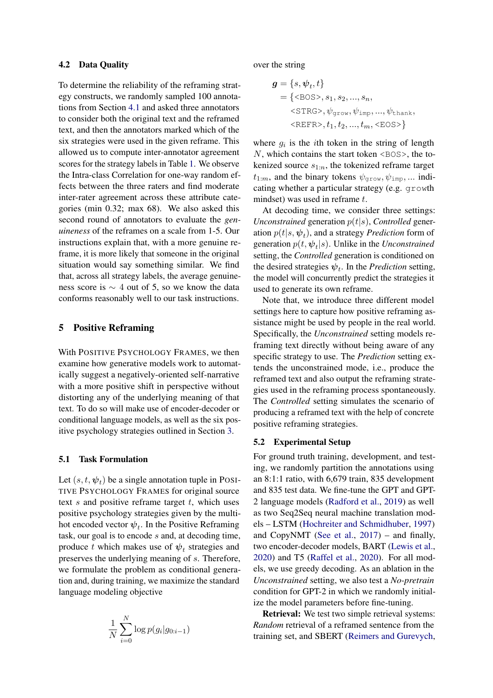#### <span id="page-4-0"></span>4.2 Data Quality

To determine the reliability of the reframing strategy constructs, we randomly sampled 100 annotations from Section [4.1](#page-3-2) and asked three annotators to consider both the original text and the reframed text, and then the annotators marked which of the six strategies were used in the given reframe. This allowed us to compute inter-annotator agreement scores for the strategy labels in Table [1.](#page-3-1) We observe the Intra-class Correlation for one-way random effects between the three raters and find moderate inter-rater agreement across these attribute categories (min 0.32; max 68). We also asked this second round of annotators to evaluate the *genuineness* of the reframes on a scale from 1-5. Our instructions explain that, with a more genuine reframe, it is more likely that someone in the original situation would say something similar. We find that, across all strategy labels, the average genuineness score is ∼ 4 out of 5, so we know the data conforms reasonably well to our task instructions.

## 5 Positive Reframing

With POSITIVE PSYCHOLOGY FRAMES, we then examine how generative models work to automatically suggest a negatively-oriented self-narrative with a more positive shift in perspective without distorting any of the underlying meaning of that text. To do so will make use of encoder-decoder or conditional language models, as well as the six positive psychology strategies outlined in Section [3.](#page-2-0)

#### 5.1 Task Formulation

Let  $(s, t, \psi_t)$  be a single annotation tuple in POSI-TIVE PSYCHOLOGY FRAMES for original source text  $s$  and positive reframe target  $t$ , which uses positive psychology strategies given by the multihot encoded vector  $\psi_t$ . In the Positive Reframing task, our goal is to encode s and, at decoding time, produce t which makes use of  $\psi_t$  strategies and preserves the underlying meaning of s. Therefore, we formulate the problem as conditional generation and, during training, we maximize the standard language modeling objective

$$
\frac{1}{N}\sum_{i=0}^N \log p(g_i|g_{0:i-1})
$$

over the string

$$
g = \{s, \psi_t, t\}
$$
  
= { $\langle$ BOS>},  $s_1, s_2, ..., s_n$ ,  
 $\langle$ STRG>},  $\psi_{\text{grow}}, \psi_{\text{imp}}, ..., \psi_{\text{thank}}$ ,  
 $\langle$ REFR>},  $t_1, t_2, ..., t_m$ ,  $\langle$ EOS>}{

where  $g_i$  is the *i*th token in the string of length  $N$ , which contains the start token  $\langle BOS \rangle$ , the tokenized source  $s_{1:n}$ , the tokenized reframe target  $t_{1:m}$ , and the binary tokens  $\psi_{\text{grow}}, \psi_{\text{imp}}, \dots$  indicating whether a particular strategy (e.g. growth mindset) was used in reframe t.

At decoding time, we consider three settings: *Unconstrained* generation  $p(t|s)$ , *Controlled* generation  $p(t|s, \psi_t)$ , and a strategy *Prediction* form of generation  $p(t, \psi_t | s)$ . Unlike in the *Unconstrained* setting, the *Controlled* generation is conditioned on the desired strategies  $\psi_t$ . In the *Prediction* setting, the model will concurrently predict the strategies it used to generate its own reframe.

Note that, we introduce three different model settings here to capture how positive reframing assistance might be used by people in the real world. Specifically, the *Unconstrained* setting models reframing text directly without being aware of any specific strategy to use. The *Prediction* setting extends the unconstrained mode, i.e., produce the reframed text and also output the reframing strategies used in the reframing process spontaneously. The *Controlled* setting simulates the scenario of producing a reframed text with the help of concrete positive reframing strategies.

## 5.2 Experimental Setup

For ground truth training, development, and testing, we randomly partition the annotations using an 8:1:1 ratio, with 6,679 train, 835 development and 835 test data. We fine-tune the GPT and GPT-2 language models [\(Radford et al.,](#page-12-10) [2019\)](#page-12-10) as well as two Seq2Seq neural machine translation models – LSTM [\(Hochreiter and Schmidhuber,](#page-10-17) [1997\)](#page-10-17) and CopyNMT [\(See et al.,](#page-12-11) [2017\)](#page-12-11) – and finally, two encoder-decoder models, BART [\(Lewis et al.,](#page-11-14) [2020\)](#page-11-14) and T5 [\(Raffel et al.,](#page-12-12) [2020\)](#page-12-12). For all models, we use greedy decoding. As an ablation in the *Unconstrained* setting, we also test a *No-pretrain* condition for GPT-2 in which we randomly initialize the model parameters before fine-tuning.

Retrieval: We test two simple retrieval systems: *Random* retrieval of a reframed sentence from the training set, and SBERT [\(Reimers and Gurevych,](#page-12-13)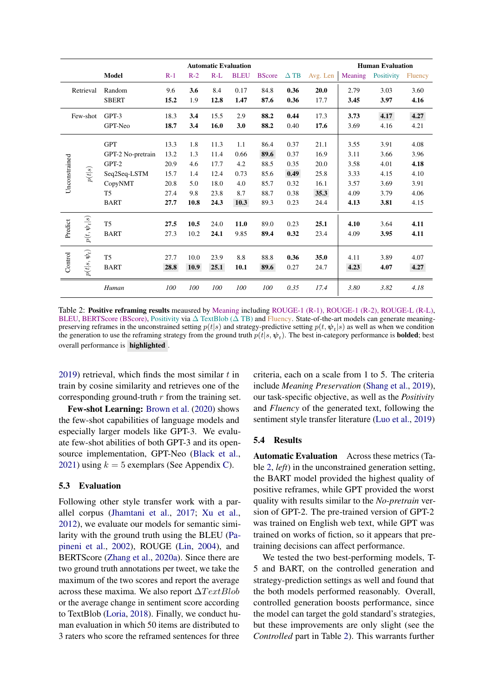<span id="page-5-0"></span>

|               |                      |                                                                                                        | <b>Automatic Evaluation</b>                          |                                                |                                                      |                                                  | <b>Human Evaluation</b>                              |                                                      |                                                      |                                                      |                                                      |                                                      |
|---------------|----------------------|--------------------------------------------------------------------------------------------------------|------------------------------------------------------|------------------------------------------------|------------------------------------------------------|--------------------------------------------------|------------------------------------------------------|------------------------------------------------------|------------------------------------------------------|------------------------------------------------------|------------------------------------------------------|------------------------------------------------------|
|               |                      | <b>Model</b>                                                                                           | $R-1$                                                | $R-2$                                          | $R-L$                                                | <b>BLEU</b>                                      | <b>BScore</b>                                        | $\Delta$ TB                                          | Avg. Len                                             | Meaning                                              | Positivity                                           | Fluency                                              |
|               | Retrieval            | Random<br><b>SBERT</b>                                                                                 | 9.6<br>15.2                                          | 3.6<br>1.9                                     | 8.4<br>12.8                                          | 0.17<br>1.47                                     | 84.8<br>87.6                                         | 0.36<br>0.36                                         | 20.0<br>17.7                                         | 2.79<br>3.45                                         | 3.03<br>3.97                                         | 3.60<br>4.16                                         |
|               | Few-shot             | GPT-3<br>GPT-Neo                                                                                       | 18.3<br>18.7                                         | 3.4<br>3.4                                     | 15.5<br>16.0                                         | 2.9<br>3.0                                       | 88.2<br>88.2                                         | 0.44<br>0.40                                         | 17.3<br>17.6                                         | 3.73<br>3.69                                         | 4.17<br>4.16                                         | 4.27<br>4.21                                         |
| Unconstrained | p(t s)               | <b>GPT</b><br>GPT-2 No-pretrain<br>$GPT-2$<br>Seq2Seq-LSTM<br>CopyNMT<br>T <sub>5</sub><br><b>BART</b> | 13.3<br>13.2<br>20.9<br>15.7<br>20.8<br>27.4<br>27.7 | 1.8<br>1.3<br>4.6<br>1.4<br>5.0<br>9.8<br>10.8 | 11.3<br>11.4<br>17.7<br>12.4<br>18.0<br>23.8<br>24.3 | 1.1<br>0.66<br>4.2<br>0.73<br>4.0<br>8.7<br>10.3 | 86.4<br>89.6<br>88.5<br>85.6<br>85.7<br>88.7<br>89.3 | 0.37<br>0.37<br>0.35<br>0.49<br>0.32<br>0.38<br>0.23 | 21.1<br>16.9<br>20.0<br>25.8<br>16.1<br>35.3<br>24.4 | 3.55<br>3.11<br>3.58<br>3.33<br>3.57<br>4.09<br>4.13 | 3.91<br>3.66<br>4.01<br>4.15<br>3.69<br>3.79<br>3.81 | 4.08<br>3.96<br>4.18<br>4.10<br>3.91<br>4.06<br>4.15 |
| Predict       | $p(t,\bm{\psi}_t s)$ | T <sub>5</sub><br><b>BART</b>                                                                          | 27.5<br>27.3                                         | 10.5<br>10.2                                   | 24.0<br>24.1                                         | 11.0<br>9.85                                     | 89.0<br>89.4                                         | 0.23<br>0.32                                         | 25.1<br>23.4                                         | 4.10<br>4.09                                         | 3.64<br>3.95                                         | 4.11<br>4.11                                         |
| Control       | $p(t s,\psi_t)$      | T <sub>5</sub><br><b>BART</b>                                                                          | 27.7<br>28.8                                         | 10.0<br>10.9                                   | 23.9<br>25.1                                         | 8.8<br>10.1                                      | 88.8<br>89.6                                         | 0.36<br>0.27                                         | 35.0<br>24.7                                         | 4.11<br>4.23                                         | 3.89<br>4.07                                         | 4.07<br>4.27                                         |
|               |                      | Human                                                                                                  | 100                                                  | 100                                            | 100                                                  | 100                                              | 100                                                  | 0.35                                                 | 17.4                                                 | 3.80                                                 | 3.82                                                 | 4.18                                                 |

Table 2: Positive reframing results meausred by Meaning including ROUGE-1 (R-1), ROUGE-1 (R-2), ROUGE-L (R-L), BLEU, BERTScore (BScore), Positivity via  $\Delta$  TextBlob ( $\Delta$  TB) and Fluency. State-of-the-art models can generate meaningpreserving reframes in the unconstrained setting  $p(t|s)$  and strategy-predictive setting  $p(t, \psi_t|s)$  as well as when we condition the generation to use the reframing strategy from the ground truth  $p(t|s, \psi_t)$ . The best in-category performance is **bolded**; best overall performance is highlighted .

[2019\)](#page-12-13) retrieval, which finds the most similar  $t$  in train by cosine similarity and retrieves one of the corresponding ground-truth  $r$  from the training set.

Few-shot Learning: [Brown et al.](#page-8-8) [\(2020\)](#page-8-8) shows the few-shot capabilities of language models and especially larger models like GPT-3. We evaluate few-shot abilities of both GPT-3 and its opensource implementation, GPT-Neo [\(Black et al.,](#page-8-9) [2021\)](#page-8-9) using  $k = 5$  exemplars (See Appendix [C\)](#page-15-1).

## 5.3 Evaluation

Following other style transfer work with a parallel corpus [\(Jhamtani et al.,](#page-10-18) [2017;](#page-10-18) [Xu et al.,](#page-13-0) [2012\)](#page-13-0), we evaluate our models for semantic similarity with the ground truth using the BLEU [\(Pa](#page-12-14)[pineni et al.,](#page-12-14) [2002\)](#page-12-14), ROUGE [\(Lin,](#page-11-15) [2004\)](#page-11-15), and BERTScore [\(Zhang et al.,](#page-13-18) [2020a\)](#page-13-18). Since there are two ground truth annotations per tweet, we take the maximum of the two scores and report the average across these maxima. We also report  $\Delta TextBlob$ or the average change in sentiment score according to TextBlob [\(Loria,](#page-11-13) [2018\)](#page-11-13). Finally, we conduct human evaluation in which 50 items are distributed to 3 raters who score the reframed sentences for three

criteria, each on a scale from 1 to 5. The criteria include *Meaning Preservation* [\(Shang et al.,](#page-12-4) [2019\)](#page-12-4), our task-specific objective, as well as the *Positivity* and *Fluency* of the generated text, following the sentiment style transfer literature [\(Luo et al.,](#page-11-16) [2019\)](#page-11-16)

#### <span id="page-5-1"></span>5.4 Results

Automatic Evaluation Across these metrics (Table [2,](#page-5-0) *left*) in the unconstrained generation setting, the BART model provided the highest quality of positive reframes, while GPT provided the worst quality with results similar to the *No-pretrain* version of GPT-2. The pre-trained version of GPT-2 was trained on English web text, while GPT was trained on works of fiction, so it appears that pretraining decisions can affect performance.

We tested the two best-performing models, T-5 and BART, on the controlled generation and strategy-prediction settings as well and found that the both models performed reasonably. Overall, controlled generation boosts performance, since the model can target the gold standard's strategies, but these improvements are only slight (see the *Controlled* part in Table [2\)](#page-5-0). This warrants further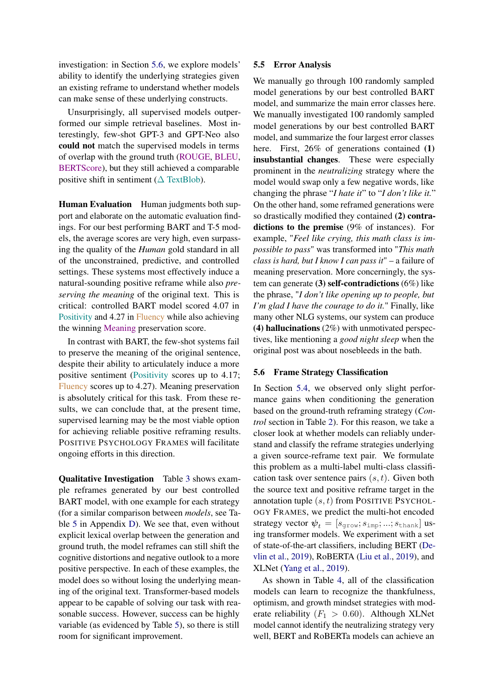investigation: in Section [5.6,](#page-6-0) we explore models' ability to identify the underlying strategies given an existing reframe to understand whether models can make sense of these underlying constructs.

Unsurprisingly, all supervised models outperformed our simple retrieval baselines. Most interestingly, few-shot GPT-3 and GPT-Neo also could not match the supervised models in terms of overlap with the ground truth (ROUGE, BLEU, BERTScore), but they still achieved a comparable positive shift in sentiment ( $\Delta$  TextBlob).

Human Evaluation Human judgments both support and elaborate on the automatic evaluation findings. For our best performing BART and T-5 models, the average scores are very high, even surpassing the quality of the *Human* gold standard in all of the unconstrained, predictive, and controlled settings. These systems most effectively induce a natural-sounding positive reframe while also *preserving the meaning* of the original text. This is critical: controlled BART model scored 4.07 in Positivity and 4.27 in Fluency while also achieving the winning Meaning preservation score.

In contrast with BART, the few-shot systems fail to preserve the meaning of the original sentence, despite their ability to articulately induce a more positive sentiment (Positivity scores up to 4.17; Fluency scores up to 4.27). Meaning preservation is absolutely critical for this task. From these results, we can conclude that, at the present time, supervised learning may be the most viable option for achieving reliable positive reframing results. POSITIVE PSYCHOLOGY FRAMES will facilitate ongoing efforts in this direction.

Qualitative Investigation Table [3](#page-7-0) shows example reframes generated by our best controlled BART model, with one example for each strategy (for a similar comparison between *models*, see Table [5](#page-17-0) in Appendix [D\)](#page-16-0). We see that, even without explicit lexical overlap between the generation and ground truth, the model reframes can still shift the cognitive distortions and negative outlook to a more positive perspective. In each of these examples, the model does so without losing the underlying meaning of the original text. Transformer-based models appear to be capable of solving our task with reasonable success. However, success can be highly variable (as evidenced by Table [5\)](#page-17-0), so there is still room for significant improvement.

#### <span id="page-6-1"></span>5.5 Error Analysis

We manually go through 100 randomly sampled model generations by our best controlled BART model, and summarize the main error classes here. We manually investigated 100 randomly sampled model generations by our best controlled BART model, and summarize the four largest error classes here. First, 26% of generations contained (1) insubstantial changes. These were especially prominent in the *neutralizing* strategy where the model would swap only a few negative words, like changing the phrase "*I hate it*" to "*I don't like it.*" On the other hand, some reframed generations were so drastically modified they contained (2) contradictions to the premise (9% of instances). For example, "*Feel like crying, this math class is impossible to pass*" was transformed into "*This math class is hard, but I know I can pass it*" – a failure of meaning preservation. More concerningly, the system can generate (3) self-contradictions  $(6\%)$  like the phrase, "*I don't like opening up to people, but I'm glad I have the courage to do it.*" Finally, like many other NLG systems, our system can produce (4) hallucinations (2%) with unmotivated perspectives, like mentioning a *good night sleep* when the original post was about nosebleeds in the bath.

#### <span id="page-6-0"></span>5.6 Frame Strategy Classification

In Section [5.4,](#page-5-1) we observed only slight performance gains when conditioning the generation based on the ground-truth reframing strategy (*Control* section in Table [2\)](#page-5-0). For this reason, we take a closer look at whether models can reliably understand and classify the reframe strategies underlying a given source-reframe text pair. We formulate this problem as a multi-label multi-class classification task over sentence pairs  $(s, t)$ . Given both the source text and positive reframe target in the annotation tuple  $(s, t)$  from POSITIVE PSYCHOL-OGY FRAMES, we predict the multi-hot encoded strategy vector  $\psi_t = [s_{\text{grow}}; s_{\text{imp}}; ...; s_{\text{thank}}]$  using transformer models. We experiment with a set of state-of-the-art classifiers, including BERT [\(De](#page-9-22)[vlin et al.,](#page-9-22) [2019\)](#page-9-22), RoBERTA [\(Liu et al.,](#page-11-17) [2019\)](#page-11-17), and XLNet [\(Yang et al.,](#page-13-19) [2019\)](#page-13-19).

As shown in Table [4,](#page-7-1) all of the classification models can learn to recognize the thankfulness, optimism, and growth mindset strategies with moderate reliability  $(F_1 > 0.60)$ . Although XLNet model cannot identify the neutralizing strategy very well, BERT and RoBERTa models can achieve an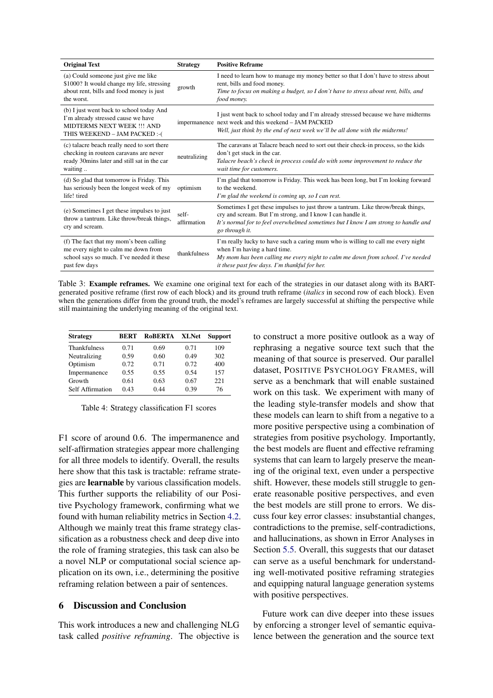<span id="page-7-0"></span>

| <b>Original Text</b>                                                                                                                                  | <b>Strategy</b>      | <b>Positive Reframe</b>                                                                                                                                                                                                                                 |
|-------------------------------------------------------------------------------------------------------------------------------------------------------|----------------------|---------------------------------------------------------------------------------------------------------------------------------------------------------------------------------------------------------------------------------------------------------|
| (a) Could someone just give me like<br>\$1000? It would change my life, stressing<br>about rent, bills and food money is just<br>the worst.           | growth               | I need to learn how to manage my money better so that I don't have to stress about<br>rent, bills and food money.<br>Time to focus on making a budget, so I don't have to stress about rent, bills, and<br>food money.                                  |
| (b) I just went back to school today And<br>I'm already stressed cause we have<br><b>MIDTERMS NEXT WEEK !!! AND</b><br>THIS WEEKEND - JAM PACKED :- ( |                      | I just went back to school today and I'm already stressed because we have midterms<br>impermanence next week and this weekend - JAM PACKED<br>Well, just think by the end of next week we'll be all done with the midterms!                             |
| (c) talacre beach really need to sort there<br>checking in routeen caravans are never<br>ready 30mins later and still sat in the car<br>waiting       | neutralizing         | The caravans at Talacre beach need to sort out their check-in process, so the kids<br>don't get stuck in the car.<br>Talacre beach's check in process could do with some improvement to reduce the<br>wait time for customers.                          |
| (d) So glad that tomorrow is Friday. This<br>has seriously been the longest week of my<br>life! tired                                                 | optimism             | I'm glad that tomorrow is Friday. This week has been long, but I'm looking forward<br>to the weekend.<br>I'm glad the weekend is coming up, so I can rest.                                                                                              |
| (e) Sometimes I get these impulses to just<br>throw a tantrum. Like throw/break things,<br>cry and scream.                                            | self-<br>affirmation | Sometimes I get these impulses to just throw a tantrum. Like throw/break things,<br>cry and scream. But I'm strong, and I know I can handle it.<br>It's normal for to feel overwhelmed sometimes but I know I am strong to handle and<br>go through it. |
| (f) The fact that my mom's been calling<br>me every night to calm me down from<br>school says so much. I've needed it these<br>past few days          | thankfulness         | I'm really lucky to have such a caring mum who is willing to call me every night<br>when I'm having a hard time.<br>My mom has been calling me every night to calm me down from school. I've needed<br>it these past few days. I'm thankful for her.    |

Table 3: Example reframes. We examine one original text for each of the strategies in our dataset along with its BARTgenerated positive reframe (first row of each block) and its ground truth reframe (*italics* in second row of each block). Even when the generations differ from the ground truth, the model's reframes are largely successful at shifting the perspective while still maintaining the underlying meaning of the original text.

<span id="page-7-1"></span>

| <b>Strategy</b>     | <b>BERT</b> | <b>ROBERTA</b> | <b>XLNet</b> | <b>Support</b> |
|---------------------|-------------|----------------|--------------|----------------|
| <b>Thankfulness</b> | 0.71        | 0.69           | 0.71         | 109            |
| Neutralizing        | 0.59        | 0.60           | 0.49         | 302            |
| Optimism            | 0.72        | 0.71           | 0.72         | 400            |
| Impermanence        | 0.55        | 0.55           | 0.54         | 157            |
| Growth              | 0.61        | 0.63           | 0.67         | 22.1           |
| Self Affirmation    | 0.43        | 0.44           | 0.39         | 76             |

Table 4: Strategy classification F1 scores

F1 score of around 0.6. The impermanence and self-affirmation strategies appear more challenging for all three models to identify. Overall, the results here show that this task is tractable: reframe strategies are learnable by various classification models. This further supports the reliability of our Positive Psychology framework, confirming what we found with human reliability metrics in Section [4.2.](#page-4-0) Although we mainly treat this frame strategy classification as a robustness check and deep dive into the role of framing strategies, this task can also be a novel NLP or computational social science application on its own, i.e., determining the positive reframing relation between a pair of sentences.

## 6 Discussion and Conclusion

This work introduces a new and challenging NLG task called *positive reframing*. The objective is to construct a more positive outlook as a way of rephrasing a negative source text such that the meaning of that source is preserved. Our parallel dataset, POSITIVE PSYCHOLOGY FRAMES, will serve as a benchmark that will enable sustained work on this task. We experiment with many of the leading style-transfer models and show that these models can learn to shift from a negative to a more positive perspective using a combination of strategies from positive psychology. Importantly, the best models are fluent and effective reframing systems that can learn to largely preserve the meaning of the original text, even under a perspective shift. However, these models still struggle to generate reasonable positive perspectives, and even the best models are still prone to errors. We discuss four key error classes: insubstantial changes, contradictions to the premise, self-contradictions, and hallucinations, as shown in Error Analyses in Section [5.5.](#page-6-1) Overall, this suggests that our dataset can serve as a useful benchmark for understanding well-motivated positive reframing strategies and equipping natural language generation systems with positive perspectives.

Future work can dive deeper into these issues by enforcing a stronger level of semantic equivalence between the generation and the source text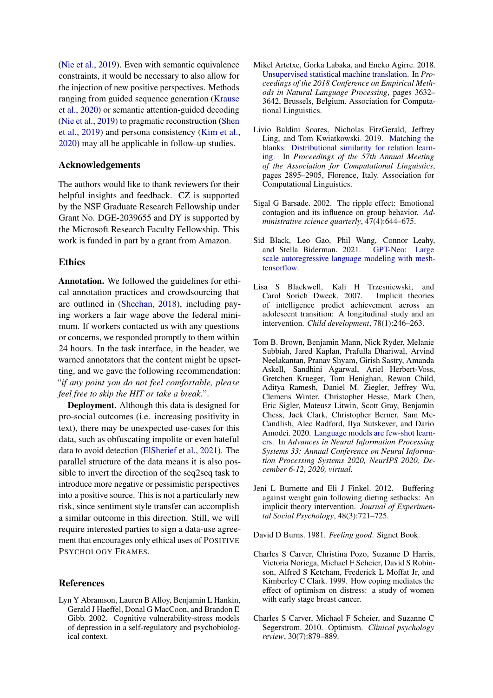[\(Nie et al.,](#page-12-15) [2019\)](#page-12-15). Even with semantic equivalence constraints, it would be necessary to also allow for the injection of new positive perspectives. Methods ranging from guided sequence generation [\(Krause](#page-10-19) [et al.,](#page-10-19) [2020\)](#page-10-19) or semantic attention-guided decoding [\(Nie et al.,](#page-12-15) [2019\)](#page-12-15) to pragmatic reconstruction [\(Shen](#page-12-16) [et al.,](#page-12-16) [2019\)](#page-12-16) and persona consistency [\(Kim et al.,](#page-10-20) [2020\)](#page-10-20) may all be applicable in follow-up studies.

## Acknowledgements

The authors would like to thank reviewers for their helpful insights and feedback. CZ is supported by the NSF Graduate Research Fellowship under Grant No. DGE-2039655 and DY is supported by the Microsoft Research Faculty Fellowship. This work is funded in part by a grant from Amazon.

#### Ethics

Annotation. We followed the guidelines for ethical annotation practices and crowdsourcing that are outlined in [\(Sheehan,](#page-12-17) [2018\)](#page-12-17), including paying workers a fair wage above the federal minimum. If workers contacted us with any questions or concerns, we responded promptly to them within 24 hours. In the task interface, in the header, we warned annotators that the content might be upsetting, and we gave the following recommendation: "*if any point you do not feel comfortable, please feel free to skip the HIT or take a break.*".

Deployment. Although this data is designed for pro-social outcomes (i.e. increasing positivity in text), there may be unexpected use-cases for this data, such as obfuscating impolite or even hateful data to avoid detection [\(ElSherief et al.,](#page-9-23) [2021\)](#page-9-23). The parallel structure of the data means it is also possible to invert the direction of the seq2seq task to introduce more negative or pessimistic perspectives into a positive source. This is not a particularly new risk, since sentiment style transfer can accomplish a similar outcome in this direction. Still, we will require interested parties to sign a data-use agreement that encourages only ethical uses of POSITIVE PSYCHOLOGY FRAMES.

#### References

<span id="page-8-4"></span>Lyn Y Abramson, Lauren B Alloy, Benjamin L Hankin, Gerald J Haeffel, Donal G MacCoon, and Brandon E Gibb. 2002. Cognitive vulnerability-stress models of depression in a self-regulatory and psychobiological context.

- <span id="page-8-0"></span>Mikel Artetxe, Gorka Labaka, and Eneko Agirre. 2018. [Unsupervised statistical machine translation.](https://doi.org/10.18653/v1/D18-1399) In *Proceedings of the 2018 Conference on Empirical Methods in Natural Language Processing*, pages 3632– 3642, Brussels, Belgium. Association for Computational Linguistics.
- <span id="page-8-10"></span>Livio Baldini Soares, Nicholas FitzGerald, Jeffrey Ling, and Tom Kwiatkowski. 2019. [Matching the](https://doi.org/10.18653/v1/P19-1279) [blanks: Distributional similarity for relation learn](https://doi.org/10.18653/v1/P19-1279)[ing.](https://doi.org/10.18653/v1/P19-1279) In *Proceedings of the 57th Annual Meeting of the Association for Computational Linguistics*, pages 2895–2905, Florence, Italy. Association for Computational Linguistics.
- <span id="page-8-1"></span>Sigal G Barsade. 2002. The ripple effect: Emotional contagion and its influence on group behavior. *Administrative science quarterly*, 47(4):644–675.
- <span id="page-8-9"></span>Sid Black, Leo Gao, Phil Wang, Connor Leahy, and Stella Biderman. 2021. [GPT-Neo: Large](http://github.com/eleutherai/gpt-neo) [scale autoregressive language modeling with mesh](http://github.com/eleutherai/gpt-neo)[tensorflow.](http://github.com/eleutherai/gpt-neo)
- <span id="page-8-6"></span>Lisa S Blackwell, Kali H Trzesniewski, and Carol Sorich Dweck. 2007. of intelligence predict achievement across an adolescent transition: A longitudinal study and an intervention. *Child development*, 78(1):246–263.
- <span id="page-8-8"></span>Tom B. Brown, Benjamin Mann, Nick Ryder, Melanie Subbiah, Jared Kaplan, Prafulla Dhariwal, Arvind Neelakantan, Pranav Shyam, Girish Sastry, Amanda Askell, Sandhini Agarwal, Ariel Herbert-Voss, Gretchen Krueger, Tom Henighan, Rewon Child, Aditya Ramesh, Daniel M. Ziegler, Jeffrey Wu, Clemens Winter, Christopher Hesse, Mark Chen, Eric Sigler, Mateusz Litwin, Scott Gray, Benjamin Chess, Jack Clark, Christopher Berner, Sam Mc-Candlish, Alec Radford, Ilya Sutskever, and Dario Amodei. 2020. [Language models are few-shot learn](https://proceedings.neurips.cc/paper/2020/hash/1457c0d6bfcb4967418bfb8ac142f64a-Abstract.html)[ers.](https://proceedings.neurips.cc/paper/2020/hash/1457c0d6bfcb4967418bfb8ac142f64a-Abstract.html) In *Advances in Neural Information Processing Systems 33: Annual Conference on Neural Information Processing Systems 2020, NeurIPS 2020, December 6-12, 2020, virtual*.
- <span id="page-8-5"></span>Jeni L Burnette and Eli J Finkel. 2012. Buffering against weight gain following dieting setbacks: An implicit theory intervention. *Journal of Experimental Social Psychology*, 48(3):721–725.

<span id="page-8-3"></span>David D Burns. 1981. *Feeling good*. Signet Book.

- <span id="page-8-2"></span>Charles S Carver, Christina Pozo, Suzanne D Harris, Victoria Noriega, Michael F Scheier, David S Robinson, Alfred S Ketcham, Frederick L Moffat Jr, and Kimberley C Clark. 1999. How coping mediates the effect of optimism on distress: a study of women with early stage breast cancer.
- <span id="page-8-7"></span>Charles S Carver, Michael F Scheier, and Suzanne C Segerstrom. 2010. Optimism. *Clinical psychology review*, 30(7):879–889.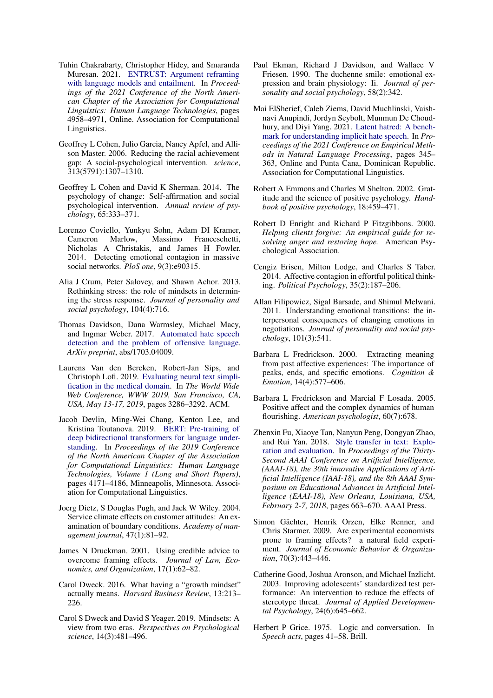- <span id="page-9-14"></span>Tuhin Chakrabarty, Christopher Hidey, and Smaranda Muresan. 2021. [ENTRUST: Argument reframing](https://doi.org/10.18653/v1/2021.naacl-main.394) [with language models and entailment.](https://doi.org/10.18653/v1/2021.naacl-main.394) In *Proceedings of the 2021 Conference of the North American Chapter of the Association for Computational Linguistics: Human Language Technologies*, pages 4958–4971, Online. Association for Computational Linguistics.
- <span id="page-9-3"></span>Geoffrey L Cohen, Julio Garcia, Nancy Apfel, and Allison Master. 2006. Reducing the racial achievement gap: A social-psychological intervention. *science*, 313(5791):1307–1310.
- <span id="page-9-18"></span>Geoffrey L Cohen and David K Sherman. 2014. The psychology of change: Self-affirmation and social psychological intervention. *Annual review of psychology*, 65:333–371.
- <span id="page-9-5"></span>Lorenzo Coviello, Yunkyu Sohn, Adam DI Kramer, Cameron Marlow, Massimo Franceschetti, Nicholas A Christakis, and James H Fowler. 2014. Detecting emotional contagion in massive social networks. *PloS one*, 9(3):e90315.
- <span id="page-9-16"></span>Alia J Crum, Peter Salovey, and Shawn Achor. 2013. Rethinking stress: the role of mindsets in determining the stress response. *Journal of personality and social psychology*, 104(4):716.
- <span id="page-9-21"></span>Thomas Davidson, Dana Warmsley, Michael Macy, and Ingmar Weber. 2017. [Automated hate speech](https://arxiv.org/abs/1703.04009) [detection and the problem of offensive language.](https://arxiv.org/abs/1703.04009) *ArXiv preprint*, abs/1703.04009.
- <span id="page-9-1"></span>Laurens Van den Bercken, Robert-Jan Sips, and Christoph Lofi. 2019. [Evaluating neural text simpli](https://doi.org/10.1145/3308558.3313630)[fication in the medical domain.](https://doi.org/10.1145/3308558.3313630) In *The World Wide Web Conference, WWW 2019, San Francisco, CA, USA, May 13-17, 2019*, pages 3286–3292. ACM.
- <span id="page-9-22"></span>Jacob Devlin, Ming-Wei Chang, Kenton Lee, and Kristina Toutanova. 2019. [BERT: Pre-training of](https://doi.org/10.18653/v1/N19-1423) [deep bidirectional transformers for language under](https://doi.org/10.18653/v1/N19-1423)[standing.](https://doi.org/10.18653/v1/N19-1423) In *Proceedings of the 2019 Conference of the North American Chapter of the Association for Computational Linguistics: Human Language Technologies, Volume 1 (Long and Short Papers)*, pages 4171–4186, Minneapolis, Minnesota. Association for Computational Linguistics.
- <span id="page-9-7"></span>Joerg Dietz, S Douglas Pugh, and Jack W Wiley. 2004. Service climate effects on customer attitudes: An examination of boundary conditions. *Academy of management journal*, 47(1):81–92.
- <span id="page-9-9"></span>James N Druckman. 2001. Using credible advice to overcome framing effects. *Journal of Law, Economics, and Organization*, 17(1):62–82.
- <span id="page-9-15"></span>Carol Dweck. 2016. What having a "growth mindset" actually means. *Harvard Business Review*, 13:213– 226.
- <span id="page-9-17"></span>Carol S Dweck and David S Yeager. 2019. Mindsets: A view from two eras. *Perspectives on Psychological science*, 14(3):481–496.
- <span id="page-9-11"></span>Paul Ekman, Richard J Davidson, and Wallace V Friesen. 1990. The duchenne smile: emotional expression and brain physiology: Ii. *Journal of personality and social psychology*, 58(2):342.
- <span id="page-9-23"></span>Mai ElSherief, Caleb Ziems, David Muchlinski, Vaishnavi Anupindi, Jordyn Seybolt, Munmun De Choudhury, and Diyi Yang. 2021. [Latent hatred: A bench](https://aclanthology.org/2021.emnlp-main.29)[mark for understanding implicit hate speech.](https://aclanthology.org/2021.emnlp-main.29) In *Proceedings of the 2021 Conference on Empirical Methods in Natural Language Processing*, pages 345– 363, Online and Punta Cana, Dominican Republic. Association for Computational Linguistics.
- <span id="page-9-20"></span>Robert A Emmons and Charles M Shelton. 2002. Gratitude and the science of positive psychology. *Handbook of positive psychology*, 18:459–471.
- <span id="page-9-19"></span>Robert D Enright and Richard P Fitzgibbons. 2000. *Helping clients forgive: An empirical guide for resolving anger and restoring hope.* American Psychological Association.
- <span id="page-9-10"></span>Cengiz Erisen, Milton Lodge, and Charles S Taber. 2014. Affective contagion in effortful political thinking. *Political Psychology*, 35(2):187–206.
- <span id="page-9-6"></span>Allan Filipowicz, Sigal Barsade, and Shimul Melwani. 2011. Understanding emotional transitions: the interpersonal consequences of changing emotions in negotiations. *Journal of personality and social psychology*, 101(3):541.
- <span id="page-9-12"></span>Barbara L Fredrickson. 2000. Extracting meaning from past affective experiences: The importance of peaks, ends, and specific emotions. *Cognition & Emotion*, 14(4):577–606.
- <span id="page-9-13"></span>Barbara L Fredrickson and Marcial F Losada. 2005. Positive affect and the complex dynamics of human flourishing. *American psychologist*, 60(7):678.
- <span id="page-9-0"></span>Zhenxin Fu, Xiaoye Tan, Nanyun Peng, Dongyan Zhao, and Rui Yan. 2018. [Style transfer in text: Explo](https://www.aaai.org/ocs/index.php/AAAI/AAAI18/paper/view/17015)[ration and evaluation.](https://www.aaai.org/ocs/index.php/AAAI/AAAI18/paper/view/17015) In *Proceedings of the Thirty-Second AAAI Conference on Artificial Intelligence, (AAAI-18), the 30th innovative Applications of Artificial Intelligence (IAAI-18), and the 8th AAAI Symposium on Educational Advances in Artificial Intelligence (EAAI-18), New Orleans, Louisiana, USA, February 2-7, 2018*, pages 663–670. AAAI Press.
- <span id="page-9-8"></span>Simon Gächter, Henrik Orzen, Elke Renner, and Chris Starmer. 2009. Are experimental economists prone to framing effects? a natural field experiment. *Journal of Economic Behavior & Organization*, 70(3):443–446.
- <span id="page-9-4"></span>Catherine Good, Joshua Aronson, and Michael Inzlicht. 2003. Improving adolescents' standardized test performance: An intervention to reduce the effects of stereotype threat. *Journal of Applied Developmental Psychology*, 24(6):645–662.
- <span id="page-9-2"></span>Herbert P Grice. 1975. Logic and conversation. In *Speech acts*, pages 41–58. Brill.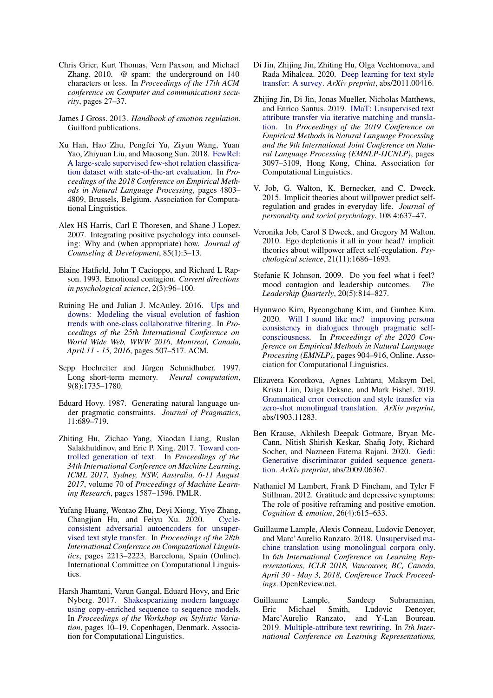- <span id="page-10-16"></span>Chris Grier, Kurt Thomas, Vern Paxson, and Michael Zhang. 2010. @ spam: the underground on 140 characters or less. In *Proceedings of the 17th ACM conference on Computer and communications security*, pages 27–37.
- <span id="page-10-13"></span>James J Gross. 2013. *Handbook of emotion regulation*. Guilford publications.
- <span id="page-10-21"></span>Xu Han, Hao Zhu, Pengfei Yu, Ziyun Wang, Yuan Yao, Zhiyuan Liu, and Maosong Sun. 2018. [FewRel:](https://doi.org/10.18653/v1/D18-1514) [A large-scale supervised few-shot relation classifica](https://doi.org/10.18653/v1/D18-1514)[tion dataset with state-of-the-art evaluation.](https://doi.org/10.18653/v1/D18-1514) In *Proceedings of the 2018 Conference on Empirical Methods in Natural Language Processing*, pages 4803– 4809, Brussels, Belgium. Association for Computational Linguistics.
- <span id="page-10-4"></span>Alex HS Harris, Carl E Thoresen, and Shane J Lopez. 2007. Integrating positive psychology into counseling: Why and (when appropriate) how. *Journal of Counseling & Development*, 85(1):3–13.
- <span id="page-10-10"></span>Elaine Hatfield, John T Cacioppo, and Richard L Rapson. 1993. Emotional contagion. *Current directions in psychological science*, 2(3):96–100.
- <span id="page-10-5"></span>Ruining He and Julian J. McAuley. 2016. [Ups and](https://doi.org/10.1145/2872427.2883037) [downs: Modeling the visual evolution of fashion](https://doi.org/10.1145/2872427.2883037) [trends with one-class collaborative filtering.](https://doi.org/10.1145/2872427.2883037) In *Proceedings of the 25th International Conference on World Wide Web, WWW 2016, Montreal, Canada, April 11 - 15, 2016*, pages 507–517. ACM.
- <span id="page-10-17"></span>Sepp Hochreiter and Jürgen Schmidhuber. 1997. Long short-term memory. *Neural computation*, 9(8):1735–1780.
- <span id="page-10-0"></span>Eduard Hovy. 1987. Generating natural language under pragmatic constraints. *Journal of Pragmatics*, 11:689–719.
- <span id="page-10-2"></span>Zhiting Hu, Zichao Yang, Xiaodan Liang, Ruslan Salakhutdinov, and Eric P. Xing. 2017. [Toward con](http://proceedings.mlr.press/v70/hu17e.html)[trolled generation of text.](http://proceedings.mlr.press/v70/hu17e.html) In *Proceedings of the 34th International Conference on Machine Learning, ICML 2017, Sydney, NSW, Australia, 6-11 August 2017*, volume 70 of *Proceedings of Machine Learning Research*, pages 1587–1596. PMLR.
- <span id="page-10-3"></span>Yufang Huang, Wentao Zhu, Deyi Xiong, Yiye Zhang, Changjian Hu, and Feiyu Xu. 2020. [Cycle](https://doi.org/10.18653/v1/2020.coling-main.201)[consistent adversarial autoencoders for unsuper](https://doi.org/10.18653/v1/2020.coling-main.201)[vised text style transfer.](https://doi.org/10.18653/v1/2020.coling-main.201) In *Proceedings of the 28th International Conference on Computational Linguistics*, pages 2213–2223, Barcelona, Spain (Online). International Committee on Computational Linguistics.
- <span id="page-10-18"></span>Harsh Jhamtani, Varun Gangal, Eduard Hovy, and Eric Nyberg. 2017. [Shakespearizing modern language](https://doi.org/10.18653/v1/W17-4902) [using copy-enriched sequence to sequence models.](https://doi.org/10.18653/v1/W17-4902) In *Proceedings of the Workshop on Stylistic Variation*, pages 10–19, Copenhagen, Denmark. Association for Computational Linguistics.
- <span id="page-10-1"></span>Di Jin, Zhijing Jin, Zhiting Hu, Olga Vechtomova, and Rada Mihalcea. 2020. [Deep learning for text style](https://arxiv.org/abs/2011.00416) [transfer: A survey.](https://arxiv.org/abs/2011.00416) *ArXiv preprint*, abs/2011.00416.
- <span id="page-10-7"></span>Zhijing Jin, Di Jin, Jonas Mueller, Nicholas Matthews, and Enrico Santus. 2019. [IMaT: Unsupervised text](https://doi.org/10.18653/v1/D19-1306) [attribute transfer via iterative matching and transla](https://doi.org/10.18653/v1/D19-1306)[tion.](https://doi.org/10.18653/v1/D19-1306) In *Proceedings of the 2019 Conference on Empirical Methods in Natural Language Processing and the 9th International Joint Conference on Natural Language Processing (EMNLP-IJCNLP)*, pages 3097–3109, Hong Kong, China. Association for Computational Linguistics.
- <span id="page-10-15"></span>V. Job, G. Walton, K. Bernecker, and C. Dweck. 2015. Implicit theories about willpower predict selfregulation and grades in everyday life. *Journal of personality and social psychology*, 108 4:637–47.
- <span id="page-10-14"></span>Veronika Job, Carol S Dweck, and Gregory M Walton. 2010. Ego depletionis it all in your head? implicit theories about willpower affect self-regulation. *Psychological science*, 21(11):1686–1693.
- <span id="page-10-11"></span>Stefanie K Johnson. 2009. Do you feel what i feel? mood contagion and leadership outcomes. *The Leadership Quarterly*, 20(5):814–827.
- <span id="page-10-20"></span>Hyunwoo Kim, Byeongchang Kim, and Gunhee Kim. 2020. [Will I sound like me? improving persona](https://doi.org/10.18653/v1/2020.emnlp-main.65) [consistency in dialogues through pragmatic self](https://doi.org/10.18653/v1/2020.emnlp-main.65)[consciousness.](https://doi.org/10.18653/v1/2020.emnlp-main.65) In *Proceedings of the 2020 Conference on Empirical Methods in Natural Language Processing (EMNLP)*, pages 904–916, Online. Association for Computational Linguistics.
- <span id="page-10-8"></span>Elizaveta Korotkova, Agnes Luhtaru, Maksym Del, Krista Liin, Daiga Deksne, and Mark Fishel. 2019. [Grammatical error correction and style transfer via](https://arxiv.org/abs/1903.11283) [zero-shot monolingual translation.](https://arxiv.org/abs/1903.11283) *ArXiv preprint*, abs/1903.11283.
- <span id="page-10-19"></span>Ben Krause, Akhilesh Deepak Gotmare, Bryan Mc-Cann, Nitish Shirish Keskar, Shafiq Joty, Richard Socher, and Nazneen Fatema Rajani. 2020. [Gedi:](https://arxiv.org/abs/2009.06367) [Generative discriminator guided sequence genera](https://arxiv.org/abs/2009.06367)[tion.](https://arxiv.org/abs/2009.06367) *ArXiv preprint*, abs/2009.06367.
- <span id="page-10-12"></span>Nathaniel M Lambert, Frank D Fincham, and Tyler F Stillman. 2012. Gratitude and depressive symptoms: The role of positive reframing and positive emotion. *Cognition & emotion*, 26(4):615–633.
- <span id="page-10-9"></span>Guillaume Lample, Alexis Conneau, Ludovic Denoyer, and Marc'Aurelio Ranzato. 2018. [Unsupervised ma](https://openreview.net/forum?id=rkYTTf-AZ)[chine translation using monolingual corpora only.](https://openreview.net/forum?id=rkYTTf-AZ) In *6th International Conference on Learning Representations, ICLR 2018, Vancouver, BC, Canada, April 30 - May 3, 2018, Conference Track Proceedings*. OpenReview.net.
- <span id="page-10-6"></span>Guillaume Lample, Sandeep Subramanian, Eric Michael Smith, Ludovic Denoyer, Marc'Aurelio Ranzato, and Y-Lan Boureau. 2019. [Multiple-attribute text rewriting.](https://openreview.net/forum?id=H1g2NhC5KQ) In *7th International Conference on Learning Representations,*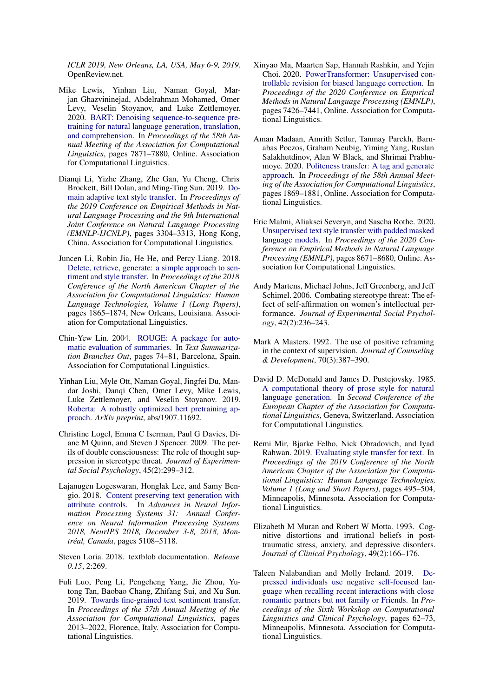*ICLR 2019, New Orleans, LA, USA, May 6-9, 2019*. OpenReview.net.

- <span id="page-11-14"></span>Mike Lewis, Yinhan Liu, Naman Goyal, Marjan Ghazvininejad, Abdelrahman Mohamed, Omer Levy, Veselin Stoyanov, and Luke Zettlemoyer. 2020. [BART: Denoising sequence-to-sequence pre](https://doi.org/10.18653/v1/2020.acl-main.703)[training for natural language generation, translation,](https://doi.org/10.18653/v1/2020.acl-main.703) [and comprehension.](https://doi.org/10.18653/v1/2020.acl-main.703) In *Proceedings of the 58th Annual Meeting of the Association for Computational Linguistics*, pages 7871–7880, Online. Association for Computational Linguistics.
- <span id="page-11-6"></span>Dianqi Li, Yizhe Zhang, Zhe Gan, Yu Cheng, Chris Brockett, Bill Dolan, and Ming-Ting Sun. 2019. [Do](https://doi.org/10.18653/v1/D19-1325)[main adaptive text style transfer.](https://doi.org/10.18653/v1/D19-1325) In *Proceedings of the 2019 Conference on Empirical Methods in Natural Language Processing and the 9th International Joint Conference on Natural Language Processing (EMNLP-IJCNLP)*, pages 3304–3313, Hong Kong, China. Association for Computational Linguistics.
- <span id="page-11-7"></span>Juncen Li, Robin Jia, He He, and Percy Liang. 2018. [Delete, retrieve, generate: a simple approach to sen](https://doi.org/10.18653/v1/N18-1169)[timent and style transfer.](https://doi.org/10.18653/v1/N18-1169) In *Proceedings of the 2018 Conference of the North American Chapter of the Association for Computational Linguistics: Human Language Technologies, Volume 1 (Long Papers)*, pages 1865–1874, New Orleans, Louisiana. Association for Computational Linguistics.
- <span id="page-11-15"></span>Chin-Yew Lin. 2004. [ROUGE: A package for auto](https://aclanthology.org/W04-1013)[matic evaluation of summaries.](https://aclanthology.org/W04-1013) In *Text Summarization Branches Out*, pages 74–81, Barcelona, Spain. Association for Computational Linguistics.
- <span id="page-11-17"></span>Yinhan Liu, Myle Ott, Naman Goyal, Jingfei Du, Mandar Joshi, Danqi Chen, Omer Levy, Mike Lewis, Luke Zettlemoyer, and Veselin Stoyanov. 2019. [Roberta: A robustly optimized bert pretraining ap](https://arxiv.org/abs/1907.11692)[proach.](https://arxiv.org/abs/1907.11692) *ArXiv preprint*, abs/1907.11692.
- <span id="page-11-10"></span>Christine Logel, Emma C Iserman, Paul G Davies, Diane M Quinn, and Steven J Spencer. 2009. The perils of double consciousness: The role of thought suppression in stereotype threat. *Journal of Experimental Social Psychology*, 45(2):299–312.
- <span id="page-11-1"></span>Lajanugen Logeswaran, Honglak Lee, and Samy Bengio. 2018. [Content preserving text generation with](https://proceedings.neurips.cc/paper/2018/hash/7cf64379eb6f29a4d25c4b6a2df713e4-Abstract.html) [attribute controls.](https://proceedings.neurips.cc/paper/2018/hash/7cf64379eb6f29a4d25c4b6a2df713e4-Abstract.html) In *Advances in Neural Information Processing Systems 31: Annual Conference on Neural Information Processing Systems 2018, NeurIPS 2018, December 3-8, 2018, Montréal, Canada*, pages 5108–5118.
- <span id="page-11-13"></span>Steven Loria. 2018. textblob documentation. *Release 0.15*, 2:269.
- <span id="page-11-16"></span>Fuli Luo, Peng Li, Pengcheng Yang, Jie Zhou, Yutong Tan, Baobao Chang, Zhifang Sui, and Xu Sun. 2019. [Towards fine-grained text sentiment transfer.](https://doi.org/10.18653/v1/P19-1194) In *Proceedings of the 57th Annual Meeting of the Association for Computational Linguistics*, pages 2013–2022, Florence, Italy. Association for Computational Linguistics.
- <span id="page-11-2"></span>Xinyao Ma, Maarten Sap, Hannah Rashkin, and Yejin Choi. 2020. [PowerTransformer: Unsupervised con](https://doi.org/10.18653/v1/2020.emnlp-main.602)[trollable revision for biased language correction.](https://doi.org/10.18653/v1/2020.emnlp-main.602) In *Proceedings of the 2020 Conference on Empirical Methods in Natural Language Processing (EMNLP)*, pages 7426–7441, Online. Association for Computational Linguistics.
- <span id="page-11-4"></span>Aman Madaan, Amrith Setlur, Tanmay Parekh, Barnabas Poczos, Graham Neubig, Yiming Yang, Ruslan Salakhutdinov, Alan W Black, and Shrimai Prabhumoye. 2020. [Politeness transfer: A tag and generate](https://doi.org/10.18653/v1/2020.acl-main.169) [approach.](https://doi.org/10.18653/v1/2020.acl-main.169) In *Proceedings of the 58th Annual Meeting of the Association for Computational Linguistics*, pages 1869–1881, Online. Association for Computational Linguistics.
- <span id="page-11-8"></span>Eric Malmi, Aliaksei Severyn, and Sascha Rothe. 2020. [Unsupervised text style transfer with padded masked](https://doi.org/10.18653/v1/2020.emnlp-main.699) [language models.](https://doi.org/10.18653/v1/2020.emnlp-main.699) In *Proceedings of the 2020 Conference on Empirical Methods in Natural Language Processing (EMNLP)*, pages 8671–8680, Online. Association for Computational Linguistics.
- <span id="page-11-3"></span>Andy Martens, Michael Johns, Jeff Greenberg, and Jeff Schimel. 2006. Combating stereotype threat: The effect of self-affirmation on women's intellectual performance. *Journal of Experimental Social Psychology*, 42(2):236–243.
- <span id="page-11-9"></span>Mark A Masters. 1992. The use of positive reframing in the context of supervision. *Journal of Counseling & Development*, 70(3):387–390.
- <span id="page-11-5"></span>David D. McDonald and James D. Pustejovsky. 1985. [A computational theory of prose style for natural](https://aclanthology.org/E85-1027) [language generation.](https://aclanthology.org/E85-1027) In *Second Conference of the European Chapter of the Association for Computational Linguistics*, Geneva, Switzerland. Association for Computational Linguistics.
- <span id="page-11-0"></span>Remi Mir, Bjarke Felbo, Nick Obradovich, and Iyad Rahwan. 2019. [Evaluating style transfer for text.](https://doi.org/10.18653/v1/N19-1049) In *Proceedings of the 2019 Conference of the North American Chapter of the Association for Computational Linguistics: Human Language Technologies, Volume 1 (Long and Short Papers)*, pages 495–504, Minneapolis, Minnesota. Association for Computational Linguistics.
- <span id="page-11-12"></span>Elizabeth M Muran and Robert W Motta. 1993. Cognitive distortions and irrational beliefs in posttraumatic stress, anxiety, and depressive disorders. *Journal of Clinical Psychology*, 49(2):166–176.
- <span id="page-11-11"></span>Taleen Nalabandian and Molly Ireland. 2019. [De](https://doi.org/10.18653/v1/W19-3008)[pressed individuals use negative self-focused lan](https://doi.org/10.18653/v1/W19-3008)[guage when recalling recent interactions with close](https://doi.org/10.18653/v1/W19-3008) [romantic partners but not family or Friends.](https://doi.org/10.18653/v1/W19-3008) In *Proceedings of the Sixth Workshop on Computational Linguistics and Clinical Psychology*, pages 62–73, Minneapolis, Minnesota. Association for Computational Linguistics.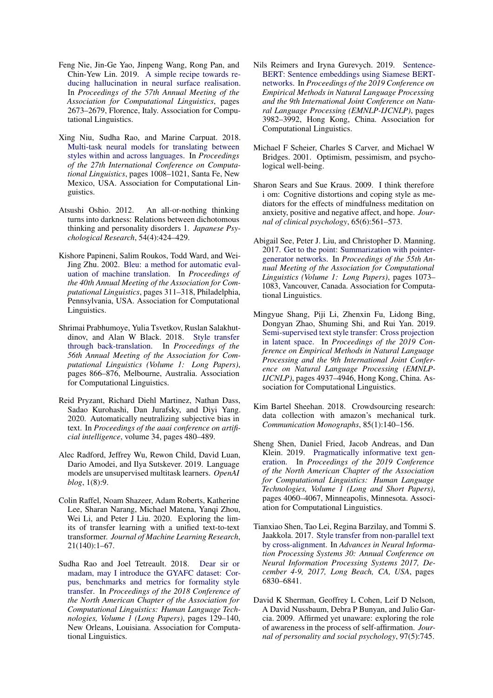- <span id="page-12-15"></span>Feng Nie, Jin-Ge Yao, Jinpeng Wang, Rong Pan, and Chin-Yew Lin. 2019. [A simple recipe towards re](https://doi.org/10.18653/v1/P19-1256)[ducing hallucination in neural surface realisation.](https://doi.org/10.18653/v1/P19-1256) In *Proceedings of the 57th Annual Meeting of the Association for Computational Linguistics*, pages 2673–2679, Florence, Italy. Association for Computational Linguistics.
- <span id="page-12-5"></span>Xing Niu, Sudha Rao, and Marine Carpuat. 2018. [Multi-task neural models for translating between](https://aclanthology.org/C18-1086) [styles within and across languages.](https://aclanthology.org/C18-1086) In *Proceedings of the 27th International Conference on Computational Linguistics*, pages 1008–1021, Santa Fe, New Mexico, USA. Association for Computational Linguistics.
- <span id="page-12-7"></span>Atsushi Oshio. 2012. An all-or-nothing thinking turns into darkness: Relations between dichotomous thinking and personality disorders 1. *Japanese Psychological Research*, 54(4):424–429.
- <span id="page-12-14"></span>Kishore Papineni, Salim Roukos, Todd Ward, and Wei-Jing Zhu. 2002. [Bleu: a method for automatic eval](https://doi.org/10.3115/1073083.1073135)[uation of machine translation.](https://doi.org/10.3115/1073083.1073135) In *Proceedings of the 40th Annual Meeting of the Association for Computational Linguistics*, pages 311–318, Philadelphia, Pennsylvania, USA. Association for Computational Linguistics.
- <span id="page-12-1"></span>Shrimai Prabhumoye, Yulia Tsvetkov, Ruslan Salakhutdinov, and Alan W Black. 2018. [Style transfer](https://doi.org/10.18653/v1/P18-1080) [through back-translation.](https://doi.org/10.18653/v1/P18-1080) In *Proceedings of the 56th Annual Meeting of the Association for Computational Linguistics (Volume 1: Long Papers)*, pages 866–876, Melbourne, Australia. Association for Computational Linguistics.
- <span id="page-12-0"></span>Reid Pryzant, Richard Diehl Martinez, Nathan Dass, Sadao Kurohashi, Dan Jurafsky, and Diyi Yang. 2020. Automatically neutralizing subjective bias in text. In *Proceedings of the aaai conference on artificial intelligence*, volume 34, pages 480–489.
- <span id="page-12-10"></span>Alec Radford, Jeffrey Wu, Rewon Child, David Luan, Dario Amodei, and Ilya Sutskever. 2019. Language models are unsupervised multitask learners. *OpenAI blog*, 1(8):9.
- <span id="page-12-12"></span>Colin Raffel, Noam Shazeer, Adam Roberts, Katherine Lee, Sharan Narang, Michael Matena, Yanqi Zhou, Wei Li, and Peter J Liu. 2020. Exploring the limits of transfer learning with a unified text-to-text transformer. *Journal of Machine Learning Research*, 21(140):1–67.
- <span id="page-12-3"></span>Sudha Rao and Joel Tetreault. 2018. [Dear sir or](https://doi.org/10.18653/v1/N18-1012) [madam, may I introduce the GYAFC dataset: Cor](https://doi.org/10.18653/v1/N18-1012)[pus, benchmarks and metrics for formality style](https://doi.org/10.18653/v1/N18-1012) [transfer.](https://doi.org/10.18653/v1/N18-1012) In *Proceedings of the 2018 Conference of the North American Chapter of the Association for Computational Linguistics: Human Language Technologies, Volume 1 (Long Papers)*, pages 129–140, New Orleans, Louisiana. Association for Computational Linguistics.
- <span id="page-12-13"></span>Nils Reimers and Iryna Gurevych. 2019. [Sentence-](https://doi.org/10.18653/v1/D19-1410)[BERT: Sentence embeddings using Siamese BERT](https://doi.org/10.18653/v1/D19-1410)[networks.](https://doi.org/10.18653/v1/D19-1410) In *Proceedings of the 2019 Conference on Empirical Methods in Natural Language Processing and the 9th International Joint Conference on Natural Language Processing (EMNLP-IJCNLP)*, pages 3982–3992, Hong Kong, China. Association for Computational Linguistics.
- <span id="page-12-6"></span>Michael F Scheier, Charles S Carver, and Michael W Bridges. 2001. Optimism, pessimism, and psychological well-being.
- <span id="page-12-9"></span>Sharon Sears and Sue Kraus. 2009. I think therefore i om: Cognitive distortions and coping style as mediators for the effects of mindfulness meditation on anxiety, positive and negative affect, and hope. *Journal of clinical psychology*, 65(6):561–573.
- <span id="page-12-11"></span>Abigail See, Peter J. Liu, and Christopher D. Manning. 2017. [Get to the point: Summarization with pointer](https://doi.org/10.18653/v1/P17-1099)[generator networks.](https://doi.org/10.18653/v1/P17-1099) In *Proceedings of the 55th Annual Meeting of the Association for Computational Linguistics (Volume 1: Long Papers)*, pages 1073– 1083, Vancouver, Canada. Association for Computational Linguistics.
- <span id="page-12-4"></span>Mingyue Shang, Piji Li, Zhenxin Fu, Lidong Bing, Dongyan Zhao, Shuming Shi, and Rui Yan. 2019. [Semi-supervised text style transfer: Cross projection](https://doi.org/10.18653/v1/D19-1499) [in latent space.](https://doi.org/10.18653/v1/D19-1499) In *Proceedings of the 2019 Conference on Empirical Methods in Natural Language Processing and the 9th International Joint Conference on Natural Language Processing (EMNLP-IJCNLP)*, pages 4937–4946, Hong Kong, China. Association for Computational Linguistics.
- <span id="page-12-17"></span>Kim Bartel Sheehan. 2018. Crowdsourcing research: data collection with amazon's mechanical turk. *Communication Monographs*, 85(1):140–156.
- <span id="page-12-16"></span>Sheng Shen, Daniel Fried, Jacob Andreas, and Dan Klein. 2019. [Pragmatically informative text gen](https://doi.org/10.18653/v1/N19-1410)[eration.](https://doi.org/10.18653/v1/N19-1410) In *Proceedings of the 2019 Conference of the North American Chapter of the Association for Computational Linguistics: Human Language Technologies, Volume 1 (Long and Short Papers)*, pages 4060–4067, Minneapolis, Minnesota. Association for Computational Linguistics.
- <span id="page-12-2"></span>Tianxiao Shen, Tao Lei, Regina Barzilay, and Tommi S. Jaakkola. 2017. [Style transfer from non-parallel text](https://proceedings.neurips.cc/paper/2017/hash/2d2c8394e31101a261abf1784302bf75-Abstract.html) [by cross-alignment.](https://proceedings.neurips.cc/paper/2017/hash/2d2c8394e31101a261abf1784302bf75-Abstract.html) In *Advances in Neural Information Processing Systems 30: Annual Conference on Neural Information Processing Systems 2017, December 4-9, 2017, Long Beach, CA, USA*, pages 6830–6841.
- <span id="page-12-8"></span>David K Sherman, Geoffrey L Cohen, Leif D Nelson, A David Nussbaum, Debra P Bunyan, and Julio Garcia. 2009. Affirmed yet unaware: exploring the role of awareness in the process of self-affirmation. *Journal of personality and social psychology*, 97(5):745.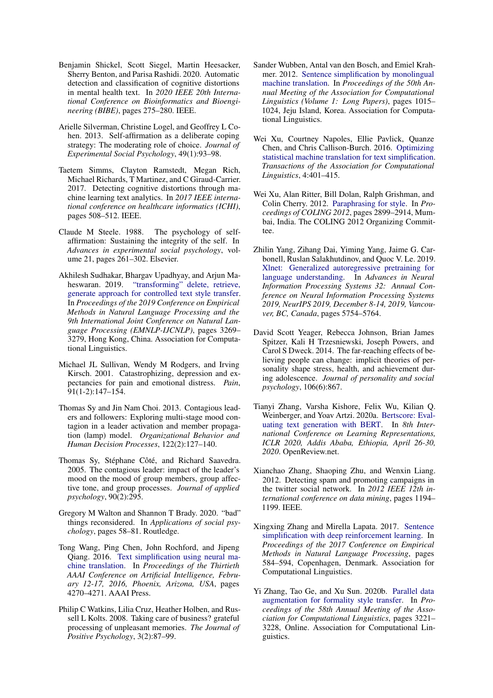- <span id="page-13-16"></span>Benjamin Shickel, Scott Siegel, Martin Heesacker, Sherry Benton, and Parisa Rashidi. 2020. Automatic detection and classification of cognitive distortions in mental health text. In *2020 IEEE 20th International Conference on Bioinformatics and Bioengineering (BIBE)*, pages 275–280. IEEE.
- <span id="page-13-13"></span>Arielle Silverman, Christine Logel, and Geoffrey L Cohen. 2013. Self-affirmation as a deliberate coping strategy: The moderating role of choice. *Journal of Experimental Social Psychology*, 49(1):93–98.
- <span id="page-13-15"></span>Taetem Simms, Clayton Ramstedt, Megan Rich, Michael Richards, T Martinez, and C Giraud-Carrier. 2017. Detecting cognitive distortions through machine learning text analytics. In *2017 IEEE international conference on healthcare informatics (ICHI)*, pages 508–512. IEEE.
- <span id="page-13-14"></span>Claude M Steele. 1988. The psychology of selfaffirmation: Sustaining the integrity of the self. In *Advances in experimental social psychology*, volume 21, pages 261–302. Elsevier.
- <span id="page-13-4"></span>Akhilesh Sudhakar, Bhargav Upadhyay, and Arjun Maheswaran. 2019. ["transforming" delete, retrieve,](https://doi.org/10.18653/v1/D19-1322) [generate approach for controlled text style transfer.](https://doi.org/10.18653/v1/D19-1322) In *Proceedings of the 2019 Conference on Empirical Methods in Natural Language Processing and the 9th International Joint Conference on Natural Language Processing (EMNLP-IJCNLP)*, pages 3269– 3279, Hong Kong, China. Association for Computational Linguistics.
- <span id="page-13-11"></span>Michael JL Sullivan, Wendy M Rodgers, and Irving Kirsch. 2001. Catastrophizing, depression and expectancies for pain and emotional distress. *Pain*, 91(1-2):147–154.
- <span id="page-13-7"></span>Thomas Sy and Jin Nam Choi. 2013. Contagious leaders and followers: Exploring multi-stage mood contagion in a leader activation and member propagation (lamp) model. *Organizational Behavior and Human Decision Processes*, 122(2):127–140.
- <span id="page-13-8"></span>Thomas Sy, Stéphane Côté, and Richard Saavedra. 2005. The contagious leader: impact of the leader's mood on the mood of group members, group affective tone, and group processes. *Journal of applied psychology*, 90(2):295.
- <span id="page-13-10"></span>Gregory M Walton and Shannon T Brady. 2020. "bad" things reconsidered. In *Applications of social psychology*, pages 58–81. Routledge.
- <span id="page-13-6"></span>Tong Wang, Ping Chen, John Rochford, and Jipeng Qiang. 2016. [Text simplification using neural ma](http://www.aaai.org/ocs/index.php/AAAI/AAAI16/paper/view/11944)[chine translation.](http://www.aaai.org/ocs/index.php/AAAI/AAAI16/paper/view/11944) In *Proceedings of the Thirtieth AAAI Conference on Artificial Intelligence, February 12-17, 2016, Phoenix, Arizona, USA*, pages 4270–4271. AAAI Press.
- <span id="page-13-9"></span>Philip C Watkins, Lilia Cruz, Heather Holben, and Russell L Kolts. 2008. Taking care of business? grateful processing of unpleasant memories. *The Journal of Positive Psychology*, 3(2):87–99.
- <span id="page-13-2"></span>Sander Wubben, Antal van den Bosch, and Emiel Krahmer. 2012. [Sentence simplification by monolingual](https://aclanthology.org/P12-1107) [machine translation.](https://aclanthology.org/P12-1107) In *Proceedings of the 50th Annual Meeting of the Association for Computational Linguistics (Volume 1: Long Papers)*, pages 1015– 1024, Jeju Island, Korea. Association for Computational Linguistics.
- <span id="page-13-1"></span>Wei Xu, Courtney Napoles, Ellie Pavlick, Quanze Chen, and Chris Callison-Burch. 2016. [Optimizing](https://doi.org/10.1162/tacl_a_00107) [statistical machine translation for text simplification.](https://doi.org/10.1162/tacl_a_00107) *Transactions of the Association for Computational Linguistics*, 4:401–415.
- <span id="page-13-0"></span>Wei Xu, Alan Ritter, Bill Dolan, Ralph Grishman, and Colin Cherry. 2012. [Paraphrasing for style.](https://aclanthology.org/C12-1177) In *Proceedings of COLING 2012*, pages 2899–2914, Mumbai, India. The COLING 2012 Organizing Committee.
- <span id="page-13-19"></span>Zhilin Yang, Zihang Dai, Yiming Yang, Jaime G. Carbonell, Ruslan Salakhutdinov, and Quoc V. Le. 2019. [Xlnet: Generalized autoregressive pretraining for](https://proceedings.neurips.cc/paper/2019/hash/dc6a7e655d7e5840e66733e9ee67cc69-Abstract.html) [language understanding.](https://proceedings.neurips.cc/paper/2019/hash/dc6a7e655d7e5840e66733e9ee67cc69-Abstract.html) In *Advances in Neural Information Processing Systems 32: Annual Conference on Neural Information Processing Systems 2019, NeurIPS 2019, December 8-14, 2019, Vancouver, BC, Canada*, pages 5754–5764.
- <span id="page-13-12"></span>David Scott Yeager, Rebecca Johnson, Brian James Spitzer, Kali H Trzesniewski, Joseph Powers, and Carol S Dweck. 2014. The far-reaching effects of believing people can change: implicit theories of personality shape stress, health, and achievement during adolescence. *Journal of personality and social psychology*, 106(6):867.
- <span id="page-13-18"></span>Tianyi Zhang, Varsha Kishore, Felix Wu, Kilian Q. Weinberger, and Yoav Artzi. 2020a. [Bertscore: Eval](https://openreview.net/forum?id=SkeHuCVFDr)[uating text generation with BERT.](https://openreview.net/forum?id=SkeHuCVFDr) In *8th International Conference on Learning Representations, ICLR 2020, Addis Ababa, Ethiopia, April 26-30, 2020*. OpenReview.net.
- <span id="page-13-17"></span>Xianchao Zhang, Shaoping Zhu, and Wenxin Liang. 2012. Detecting spam and promoting campaigns in the twitter social network. In *2012 IEEE 12th international conference on data mining*, pages 1194– 1199. IEEE.
- <span id="page-13-5"></span>Xingxing Zhang and Mirella Lapata. 2017. [Sentence](https://doi.org/10.18653/v1/D17-1062) [simplification with deep reinforcement learning.](https://doi.org/10.18653/v1/D17-1062) In *Proceedings of the 2017 Conference on Empirical Methods in Natural Language Processing*, pages 584–594, Copenhagen, Denmark. Association for Computational Linguistics.
- <span id="page-13-3"></span>Yi Zhang, Tao Ge, and Xu Sun. 2020b. [Parallel data](https://doi.org/10.18653/v1/2020.acl-main.294) [augmentation for formality style transfer.](https://doi.org/10.18653/v1/2020.acl-main.294) In *Proceedings of the 58th Annual Meeting of the Association for Computational Linguistics*, pages 3221– 3228, Online. Association for Computational Linguistics.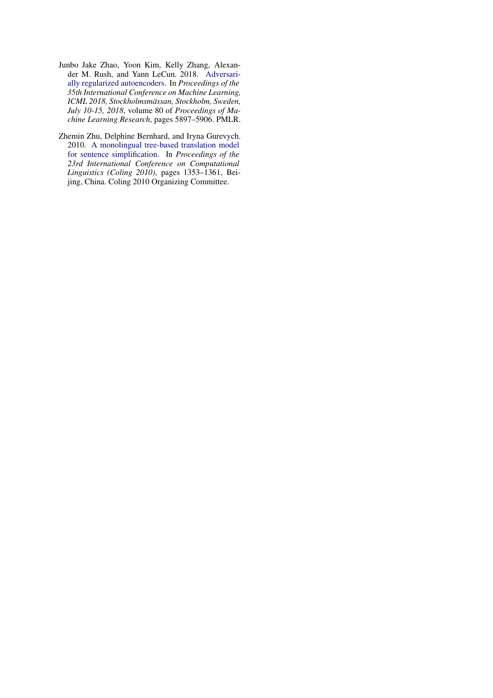- <span id="page-14-1"></span>Junbo Jake Zhao, Yoon Kim, Kelly Zhang, Alexander M. Rush, and Yann LeCun. 2018. [Adversari](http://proceedings.mlr.press/v80/zhao18b.html)[ally regularized autoencoders.](http://proceedings.mlr.press/v80/zhao18b.html) In *Proceedings of the 35th International Conference on Machine Learning, ICML 2018, Stockholmsmässan, Stockholm, Sweden, July 10-15, 2018*, volume 80 of *Proceedings of Machine Learning Research*, pages 5897–5906. PMLR.
- <span id="page-14-0"></span>Zhemin Zhu, Delphine Bernhard, and Iryna Gurevych. 2010. [A monolingual tree-based translation model](https://aclanthology.org/C10-1152) [for sentence simplification.](https://aclanthology.org/C10-1152) In *Proceedings of the 23rd International Conference on Computational Linguistics (Coling 2010)*, pages 1353–1361, Beijing, China. Coling 2010 Organizing Committee.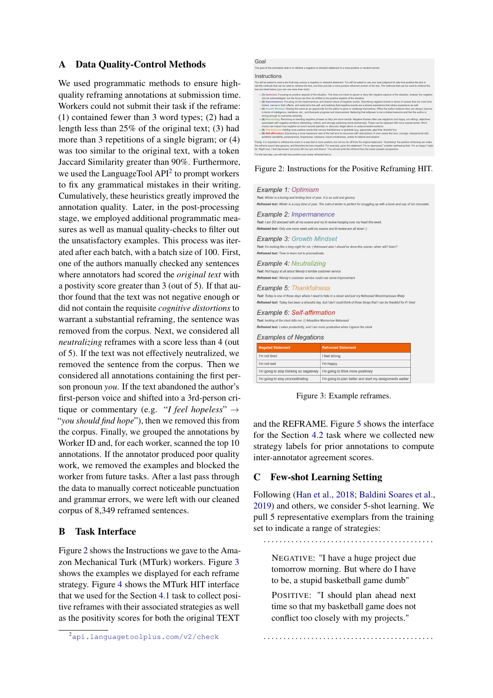## <span id="page-15-0"></span>A Data Quality-Control Methods

We used programmatic methods to ensure highquality reframing annotations at submission time. Workers could not submit their task if the reframe: (1) contained fewer than 3 word types; (2) had a length less than 25% of the original text; (3) had more than 3 repetitions of a single bigram; or (4) was too similar to the original text, with a token Jaccard Similarity greater than 90%. Furthermore, we used the LanguageTool  $API<sup>2</sup>$  $API<sup>2</sup>$  $API<sup>2</sup>$  to prompt workers to fix any grammatical mistakes in their writing. Cumulatively, these heuristics greatly improved the annotation quality. Later, in the post-processing stage, we employed additional programmatic measures as well as manual quality-checks to filter out the unsatisfactory examples. This process was iterated after each batch, with a batch size of 100. First, one of the authors manually checked any sentences where annotators had scored the *original text* with a postivity score greater than 3 (out of 5). If that author found that the text was not negative enough or did not contain the requisite *cognitive distortions* to warrant a substantial reframing, the sentence was removed from the corpus. Next, we considered all *neutralizing* reframes with a score less than 4 (out of 5). If the text was not effectively neutralized, we removed the sentence from the corpus. Then we considered all annotations containing the first person pronoun *you*. If the text abandoned the author's first-person voice and shifted into a 3rd-person critique or commentary (e.g. "*I feel hopeless*" → "*you should find hope*"), then we removed this from the corpus. Finally, we grouped the annotations by Worker ID and, for each worker, scanned the top 10 annotations. If the annotator produced poor quality work, we removed the examples and blocked the worker from future tasks. After a last pass through the data to manually correct noticeable punctuation and grammar errors, we were left with our cleaned corpus of 8,349 reframed sentences.

## B Task Interface

Figure [2](#page-15-3) shows the Instructions we gave to the Amazon Mechanical Turk (MTurk) workers. Figure [3](#page-15-4) shows the examples we displayed for each reframe strategy. Figure [4](#page-18-0) shows the MTurk HIT interface that we used for the Section [4.1](#page-3-2) task to collect positive reframes with their associated strategies as well as the positivity scores for both the original TEXT

<span id="page-15-3"></span>

| Goal                                                                                                                                                                                                                                                                                                                                                                                                                                                                                                                                                                                                                                                                                                                                                                                                                                                                                                                                                                                                                                                                                                                                                                                                                                                                                                                                                                                                                                                                                                                                                                                                                                                                                                                                                                                                                                     |
|------------------------------------------------------------------------------------------------------------------------------------------------------------------------------------------------------------------------------------------------------------------------------------------------------------------------------------------------------------------------------------------------------------------------------------------------------------------------------------------------------------------------------------------------------------------------------------------------------------------------------------------------------------------------------------------------------------------------------------------------------------------------------------------------------------------------------------------------------------------------------------------------------------------------------------------------------------------------------------------------------------------------------------------------------------------------------------------------------------------------------------------------------------------------------------------------------------------------------------------------------------------------------------------------------------------------------------------------------------------------------------------------------------------------------------------------------------------------------------------------------------------------------------------------------------------------------------------------------------------------------------------------------------------------------------------------------------------------------------------------------------------------------------------------------------------------------------------|
| The goal of this annotation task is to reframe a negative or stressful statement in a more positive or neutral manner.                                                                                                                                                                                                                                                                                                                                                                                                                                                                                                                                                                                                                                                                                                                                                                                                                                                                                                                                                                                                                                                                                                                                                                                                                                                                                                                                                                                                                                                                                                                                                                                                                                                                                                                   |
| Instructions                                                                                                                                                                                                                                                                                                                                                                                                                                                                                                                                                                                                                                                                                                                                                                                                                                                                                                                                                                                                                                                                                                                                                                                                                                                                                                                                                                                                                                                                                                                                                                                                                                                                                                                                                                                                                             |
| You will be asked to read a text that may convey a negative or stressful statement. You will be asked to use your best judgment to rate how positive the text is.<br>identify methods that can be used to reframe the text, and then provide a more positive reframed version of the text. The methods that can be used to reframe the<br>text are listed below (you can use more than one!):                                                                                                                                                                                                                                                                                                                                                                                                                                                                                                                                                                                                                                                                                                                                                                                                                                                                                                                                                                                                                                                                                                                                                                                                                                                                                                                                                                                                                                            |
| . (1) Optimism: Focusing on positive aspects of the situation. This does not mean to ignore or deny the negative aspects of the situation. Instead, the negative<br>can be acknowledged, but the focus can then be shifted to the positive aspects of the situation.<br>· (2) Impermanence: Focusing on the impermanence and shared nature of negative events. Describing negative events in terms of causes that are more time<br>limited, narrow in their effects, and external to the self, and realizing that negative events are a shared experience that others experience as well.<br>· (3) Growth Mindset: Viewing the event as an opportunity for the author to grow or challenge themselves. When the author believes they can always improve<br>in terms of intelligence, resilience, etc., and forecasts progress and improvement. Believing that willpower is not a limited resource and that the author is<br>strong enough to overcome adversity.<br>. (4) Neutralizing: Removing or rewriting negative phrases so they are more neutral. Negative frames often use negations (not happy, not willing), adjectives<br>associated with negative emotions (disturbing, violent), and strongly polarizing words (extremely). These can be replaced with more neutral words. Word<br>choice can impact how negative an event sounds (penalty vs. discount, illegal aliens vs undocumented workers).<br>- (5) Thankfulness; Adding more positive words that convey thankfulness or gratitude (e.g. appreciate, glad that, thankful for).<br>. (6) Self-affirmation: Expressing a more expansive view of the self and its resources with descriptions of core values like love, courage, interpersonal skill,<br>aesthetic sensibility, perseverance, forgiveness, tolerance, future-mindedness, praise for talents and wisdom, |
| Finally, it is important to reframe the event in a way that is more positive, but not too far off from the original statement. "Overdoing" the positive reframing can make<br>the reframe sound less genuine, and therefore be less impactful. For example, given the statement 'Tm so depressed," a better rephrasing than 'Tm so happy" might<br>be "Right now, I feel depressed, but every life has ups and downs." You should write the reframe from the same speaker perspective,                                                                                                                                                                                                                                                                                                                                                                                                                                                                                                                                                                                                                                                                                                                                                                                                                                                                                                                                                                                                                                                                                                                                                                                                                                                                                                                                                   |
| For the last step, you will rate how positive your newly reframed text is.                                                                                                                                                                                                                                                                                                                                                                                                                                                                                                                                                                                                                                                                                                                                                                                                                                                                                                                                                                                                                                                                                                                                                                                                                                                                                                                                                                                                                                                                                                                                                                                                                                                                                                                                                               |

Figure 2: Instructions for the Positive Reframing HIT.

<span id="page-15-4"></span>

| Example 1: Optimism<br>Text: Winter is a boring and limiting time of year. It is so cold and gloomy.                                                                                                                           | Reframed text: Winter is a cozy time of year. The cold of winter is perfect for snuggling up with a book and cup of hot chocolate                                                                                                            |  |  |  |  |
|--------------------------------------------------------------------------------------------------------------------------------------------------------------------------------------------------------------------------------|----------------------------------------------------------------------------------------------------------------------------------------------------------------------------------------------------------------------------------------------|--|--|--|--|
| Example 2: Impermanence<br>Text: I am SO stressed with all my exams and my lit review hanging over my head this week.<br>Reframed text: Only one more week until my exams and lit review are all done! :)                      |                                                                                                                                                                                                                                              |  |  |  |  |
| <b>Example 3: Growth Mindset</b><br>Reframed text: Time to learn not to procrastinate.                                                                                                                                         | Text: It's looking like a long night for me : (#stressed also I should've done this sooner. when will I learn?                                                                                                                               |  |  |  |  |
| <b>Example 4: Neutralizing</b><br>Text: Not happy at all about Wendy's terrible customer service<br>Reframed text: Wendy's customer service could use some improvement                                                         |                                                                                                                                                                                                                                              |  |  |  |  |
| <b>Example 5: Thankfulness</b>                                                                                                                                                                                                 | Text: Today is one of those days where I need to hide in a closet and just cry #stressed #mommyissues #help<br>Reframed text: Today has been a stressful day, but I bet I could think of three things that I can be thankful for if I tried. |  |  |  |  |
| Example 6: Self-affirmation<br>Text: looking at the clock kills me : (( #deadline #tomorrow #stressed<br>Reframed text: I value productivity, and I am more productive when I ignore the clock<br><b>Examples of Negations</b> |                                                                                                                                                                                                                                              |  |  |  |  |
| <b>Negated Statement</b>                                                                                                                                                                                                       | <b>Reframed Statement</b>                                                                                                                                                                                                                    |  |  |  |  |
| I'm not tired                                                                                                                                                                                                                  | I feel strong                                                                                                                                                                                                                                |  |  |  |  |
| I'm not sad                                                                                                                                                                                                                    | I'm happy                                                                                                                                                                                                                                    |  |  |  |  |
| I'm going to stop thinking so negatively                                                                                                                                                                                       | I'm going to think more positively                                                                                                                                                                                                           |  |  |  |  |
| I'm going to stop procrastinating                                                                                                                                                                                              | I'm going to plan better and start my assignments earlier                                                                                                                                                                                    |  |  |  |  |

Figure 3: Example reframes.

and the REFRAME. Figure [5](#page-18-1) shows the interface for the Section [4.2](#page-4-0) task where we collected new strategy labels for prior annotations to compute inter-annotator agreement scores.

## <span id="page-15-1"></span>C Few-shot Learning Setting

Following [\(Han et al.,](#page-10-21) [2018;](#page-10-21) [Baldini Soares et al.,](#page-8-10) [2019\)](#page-8-10) and others, we consider 5-shot learning. We pull 5 representative exemplars from the training set to indicate a range of strategies:

. . . . . . . . . . . . . . . . . . . . . . . . . . . . . . . . . . . . . . . . . . .

NEGATIVE: "I have a huge project due tomorrow morning. But where do I have to be, a stupid basketball game dumb"

POSITIVE: "I should plan ahead next time so that my basketball game does not conflict too closely with my projects."

. . . . . . . . . . . . . . . . . . . . . . . . . . . . . . . . . . . . . . . . . . .

<span id="page-15-2"></span><sup>2</sup><api.languagetoolplus.com/v2/check>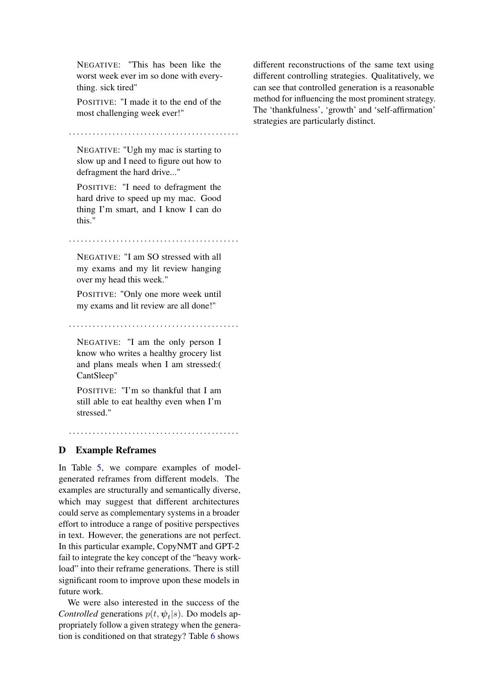NEGATIVE: "This has been like the worst week ever im so done with everything. sick tired"

POSITIVE: "I made it to the end of the most challenging week ever!"

. . . . . . . . . . . . . . . . . . . . . . . . . . . . . . . . . . . . . . . . . . .

NEGATIVE: "Ugh my mac is starting to slow up and I need to figure out how to defragment the hard drive..."

POSITIVE: "I need to defragment the hard drive to speed up my mac. Good thing I'm smart, and I know I can do this."

. . . . . . . . . . . . . . . . . . . . . . . . . . . . . . . . . . . . . . . . . . .

NEGATIVE: "I am SO stressed with all my exams and my lit review hanging over my head this week."

POSITIVE: "Only one more week until my exams and lit review are all done!"

. . . . . . . . . . . . . . . . . . . . . . . . . . . . . . . . . . . . . . . . . . .

NEGATIVE: "I am the only person I know who writes a healthy grocery list and plans meals when I am stressed:( CantSleep"

POSITIVE: "I'm so thankful that I am still able to eat healthy even when I'm stressed."

. . . . . . . . . . . . . . . . . . . . . . . . . . . . . . . . . . . . . . . . . . .

#### <span id="page-16-0"></span>D Example Reframes

In Table [5,](#page-17-0) we compare examples of modelgenerated reframes from different models. The examples are structurally and semantically diverse, which may suggest that different architectures could serve as complementary systems in a broader effort to introduce a range of positive perspectives in text. However, the generations are not perfect. In this particular example, CopyNMT and GPT-2 fail to integrate the key concept of the "heavy workload" into their reframe generations. There is still significant room to improve upon these models in future work.

We were also interested in the success of the *Controlled* generations  $p(t, \psi_t | s)$ . Do models appropriately follow a given strategy when the generation is conditioned on that strategy? Table [6](#page-17-1) shows

different reconstructions of the same text using different controlling strategies. Qualitatively, we can see that controlled generation is a reasonable method for influencing the most prominent strategy. The 'thankfulness', 'growth' and 'self-affirmation' strategies are particularly distinct.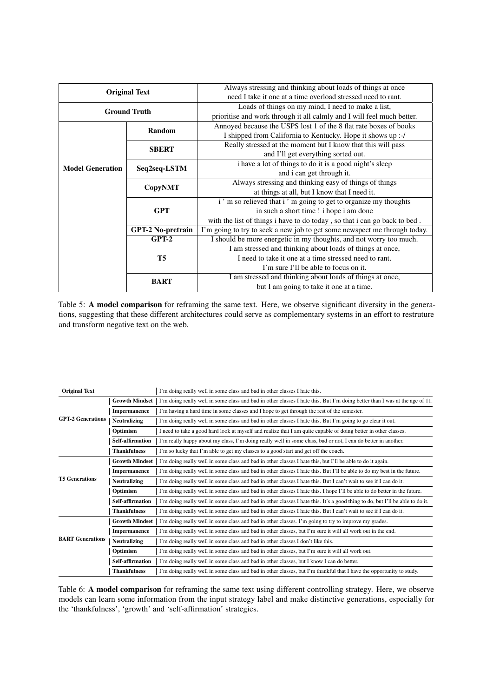<span id="page-17-0"></span>

|                         |                          | Always stressing and thinking about loads of things at once               |  |  |  |
|-------------------------|--------------------------|---------------------------------------------------------------------------|--|--|--|
|                         | <b>Original Text</b>     | need I take it one at a time overload stressed need to rant.              |  |  |  |
|                         | <b>Ground Truth</b>      | Loads of things on my mind, I need to make a list,                        |  |  |  |
|                         |                          | prioritise and work through it all calmly and I will feel much better.    |  |  |  |
|                         | Random                   | Annoyed because the USPS lost 1 of the 8 flat rate boxes of books         |  |  |  |
|                         |                          | I shipped from California to Kentucky. Hope it shows up :-/               |  |  |  |
|                         | <b>SBERT</b>             | Really stressed at the moment but I know that this will pass              |  |  |  |
|                         |                          | and I'll get everything sorted out.                                       |  |  |  |
| <b>Model Generation</b> | Seq2seq-LSTM             | i have a lot of things to do it is a good night's sleep                   |  |  |  |
|                         |                          | and i can get through it.                                                 |  |  |  |
|                         | <b>CopyNMT</b>           | Always stressing and thinking easy of things of things                    |  |  |  |
|                         |                          | at things at all, but I know that I need it.                              |  |  |  |
|                         |                          | i'm so relieved that i'm going to get to organize my thoughts             |  |  |  |
|                         | <b>GPT</b>               | in such a short time ! i hope i am done                                   |  |  |  |
|                         |                          | with the list of things i have to do today, so that i can go back to bed. |  |  |  |
|                         | <b>GPT-2 No-pretrain</b> | I'm going to try to seek a new job to get some newspect me through today. |  |  |  |
|                         | $GPT-2$                  | I should be more energetic in my thoughts, and not worry too much.        |  |  |  |
|                         |                          | I am stressed and thinking about loads of things at once,                 |  |  |  |
|                         | T5                       | I need to take it one at a time stressed need to rant.                    |  |  |  |
|                         |                          | I'm sure I'll be able to focus on it.                                     |  |  |  |
|                         | <b>BART</b>              | I am stressed and thinking about loads of things at once,                 |  |  |  |
|                         |                          | but I am going to take it one at a time.                                  |  |  |  |

Table 5: A model comparison for reframing the same text. Here, we observe significant diversity in the generations, suggesting that these different architectures could serve as complementary systems in an effort to restruture and transform negative text on the web.

<span id="page-17-1"></span>

| <b>Original Text</b>     |                       | I'm doing really well in some class and bad in other classes I hate this.                                                     |  |  |  |
|--------------------------|-----------------------|-------------------------------------------------------------------------------------------------------------------------------|--|--|--|
|                          | <b>Growth Mindset</b> | I'm doing really well in some class and bad in other classes I hate this. But I'm doing better than I was at the age of 11.   |  |  |  |
|                          | Impermanence          | I'm having a hard time in some classes and I hope to get through the rest of the semester.                                    |  |  |  |
| <b>GPT-2 Generations</b> | <b>Neutralizing</b>   | I'm doing really well in some class and bad in other classes I hate this. But I'm going to go clear it out.                   |  |  |  |
|                          | Optimism              | I need to take a good hard look at myself and realize that I am quite capable of doing better in other classes.               |  |  |  |
|                          | Self-affirmation      | I'm really happy about my class, I'm doing really well in some class, bad or not, I can do better in another.                 |  |  |  |
|                          | <b>Thankfulness</b>   | I'm so lucky that I'm able to get my classes to a good start and get off the couch.                                           |  |  |  |
|                          | <b>Growth Mindset</b> | I'm doing really well in some class and bad in other classes I hate this, but I'll be able to do it again.                    |  |  |  |
|                          | <b>Impermanence</b>   | I'm doing really well in some class and bad in other classes I hate this. But I'll be able to do my best in the future.       |  |  |  |
| <b>T5 Generations</b>    | <b>Neutralizing</b>   | I'm doing really well in some class and bad in other classes I hate this. But I can't wait to see if I can do it.             |  |  |  |
|                          | Optimism              | I'm doing really well in some class and bad in other classes I hate this. I hope I'll be able to do better in the future.     |  |  |  |
|                          | Self-affirmation      | I'm doing really well in some class and bad in other classes I hate this. It's a good thing to do, but I'll be able to do it. |  |  |  |
|                          | <b>Thankfulness</b>   | I'm doing really well in some class and bad in other classes I hate this. But I can't wait to see if I can do it.             |  |  |  |
|                          | <b>Growth Mindset</b> | I'm doing really well in some class and bad in other classes. I'm going to try to improve my grades.                          |  |  |  |
|                          | Impermanence          | I'm doing really well in some class and bad in other classes, but I'm sure it will all work out in the end.                   |  |  |  |
| <b>BART</b> Generations  | <b>Neutralizing</b>   | I'm doing really well in some class and bad in other classes I don't like this.                                               |  |  |  |
|                          | Optimism              | I'm doing really well in some class and bad in other classes, but I'm sure it will all work out.                              |  |  |  |
|                          | Self-affirmation      | I'm doing really well in some class and bad in other classes, but I know I can do better.                                     |  |  |  |
|                          | <b>Thankfulness</b>   | I'm doing really well in some class and bad in other classes, but I'm thankful that I have the opportunity to study.          |  |  |  |

Table 6: A model comparison for reframing the same text using different controlling strategy. Here, we observe models can learn some information from the input strategy label and make distinctive generations, especially for the 'thankfulness', 'growth' and 'self-affirmation' strategies.